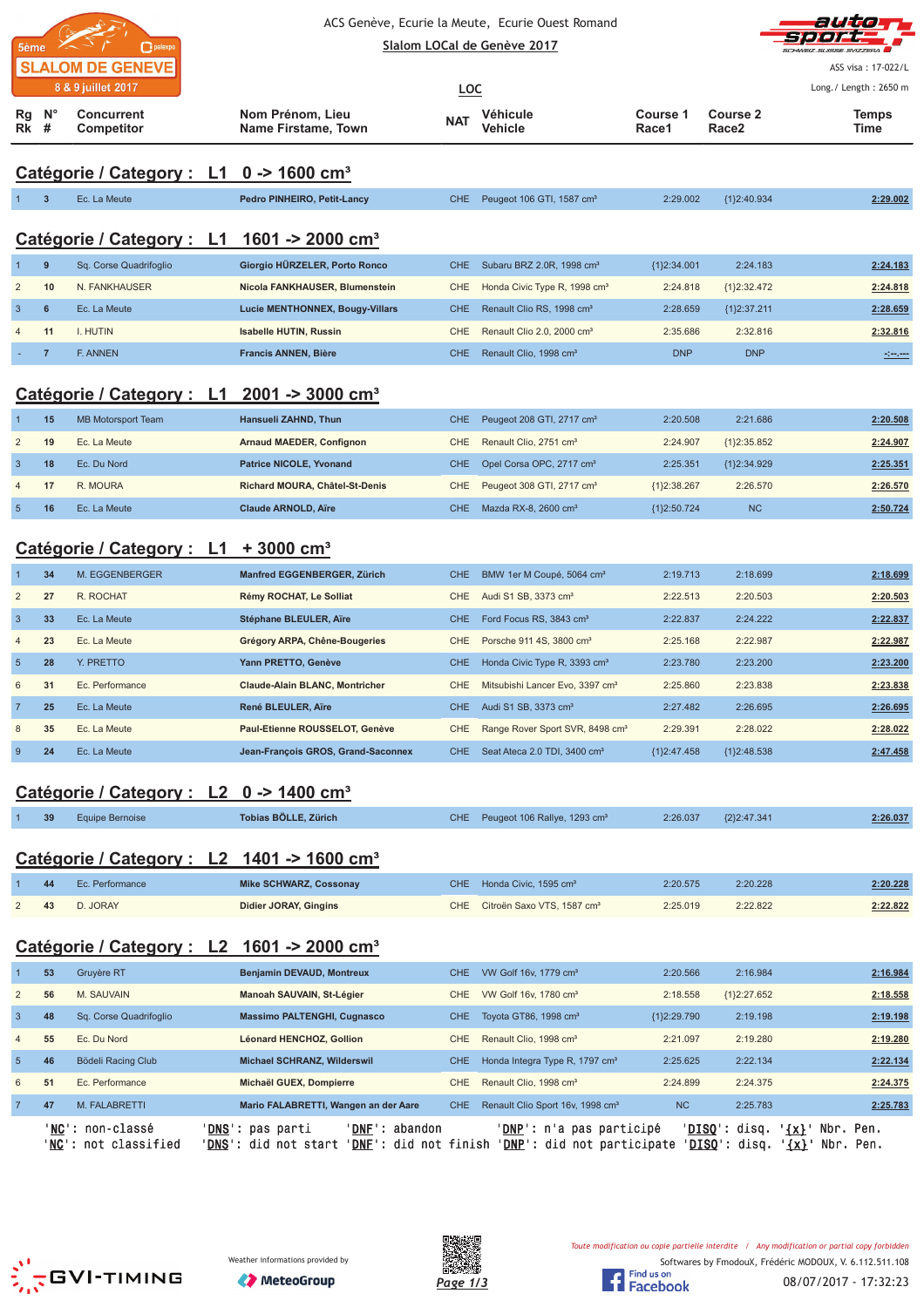| 5ème<br>palexpo         |
|-------------------------|
| <b>SLALOM DE GENEVE</b> |
| 8 & 9 juillet 2017      |



ASS visa : 17-022/L

| 8 & 9 juillet 2017<br><b>Concurrent</b><br>Competitor<br>Ec. La Meute<br>Catégorie / Category : L1<br>Sq. Corse Quadrifoglio<br>N. FANKHAUSER<br>Ec. La Meute<br>I. HUTIN<br>F. ANNEN<br><b>MB Motorsport Team</b><br>Ec. La Meute<br>Ec. Du Nord<br>R. MOURA<br>Ec. La Meute | Nom Prénom, Lieu<br><b>Name Firstame, Town</b><br>Catégorie / Category : L1 0 -> 1600 cm <sup>3</sup><br>Pedro PINHEIRO, Petit-Lancy<br>1601 -> 2000 cm <sup>3</sup><br>Giorgio HÜRZELER, Porto Ronco<br>Nicola FANKHAUSER, Blumenstein<br><b>Lucie MENTHONNEX, Bougy-Villars</b><br><b>Isabelle HUTIN, Russin</b><br>Francis ANNEN, Bière<br>Catégorie / Category : L1 2001 -> 3000 cm <sup>3</sup><br>Hansueli ZAHND, Thun<br><b>Arnaud MAEDER, Confignon</b><br><b>Patrice NICOLE, Yvonand</b><br>Richard MOURA, Châtel-St-Denis | LOC<br><b>NAT</b><br><b>CHE</b><br><b>CHE</b><br>CHE<br><b>CHE</b><br>CHE<br><b>CHE</b><br><b>CHE</b><br>CHE<br><b>CHE</b>                                                                                                                                                                                                                 | Véhicule<br><b>Vehicle</b><br>Peugeot 106 GTI, 1587 cm <sup>3</sup><br>Subaru BRZ 2.0R, 1998 cm <sup>3</sup><br>Honda Civic Type R, 1998 cm <sup>3</sup><br>Renault Clio RS, 1998 cm <sup>3</sup><br>Renault Clio 2.0, 2000 cm <sup>3</sup><br>Renault Clio, 1998 cm <sup>3</sup><br>Peugeot 208 GTI, 2717 cm <sup>3</sup><br>Renault Clio, 2751 cm <sup>3</sup> | Course 1<br>Race1<br>2:29.002<br>${1}2:34.001$<br>2:24.818<br>2:28.659<br>2:35.686<br><b>DNP</b><br>2:20.508                                                                                                                                                                                                                    | <b>Course 2</b><br>Race2<br>{1}2:40.934<br>2:24.183<br>${1}2:32.472$<br>${1}2:37.211$<br>2:32.816<br><b>DNP</b><br>2:21.686 | Long./ Length: 2650 m<br><b>Temps</b><br>Time<br>2:29.002<br>2:24.183<br>2:24.818<br>2:28.659<br>2:32.816 |
|-------------------------------------------------------------------------------------------------------------------------------------------------------------------------------------------------------------------------------------------------------------------------------|-------------------------------------------------------------------------------------------------------------------------------------------------------------------------------------------------------------------------------------------------------------------------------------------------------------------------------------------------------------------------------------------------------------------------------------------------------------------------------------------------------------------------------------|--------------------------------------------------------------------------------------------------------------------------------------------------------------------------------------------------------------------------------------------------------------------------------------------------------------------------------------------|------------------------------------------------------------------------------------------------------------------------------------------------------------------------------------------------------------------------------------------------------------------------------------------------------------------------------------------------------------------|---------------------------------------------------------------------------------------------------------------------------------------------------------------------------------------------------------------------------------------------------------------------------------------------------------------------------------|-----------------------------------------------------------------------------------------------------------------------------|-----------------------------------------------------------------------------------------------------------|
|                                                                                                                                                                                                                                                                               |                                                                                                                                                                                                                                                                                                                                                                                                                                                                                                                                     |                                                                                                                                                                                                                                                                                                                                            |                                                                                                                                                                                                                                                                                                                                                                  |                                                                                                                                                                                                                                                                                                                                 |                                                                                                                             |                                                                                                           |
|                                                                                                                                                                                                                                                                               |                                                                                                                                                                                                                                                                                                                                                                                                                                                                                                                                     |                                                                                                                                                                                                                                                                                                                                            |                                                                                                                                                                                                                                                                                                                                                                  |                                                                                                                                                                                                                                                                                                                                 |                                                                                                                             |                                                                                                           |
|                                                                                                                                                                                                                                                                               |                                                                                                                                                                                                                                                                                                                                                                                                                                                                                                                                     |                                                                                                                                                                                                                                                                                                                                            |                                                                                                                                                                                                                                                                                                                                                                  |                                                                                                                                                                                                                                                                                                                                 |                                                                                                                             |                                                                                                           |
|                                                                                                                                                                                                                                                                               |                                                                                                                                                                                                                                                                                                                                                                                                                                                                                                                                     |                                                                                                                                                                                                                                                                                                                                            |                                                                                                                                                                                                                                                                                                                                                                  |                                                                                                                                                                                                                                                                                                                                 |                                                                                                                             |                                                                                                           |
|                                                                                                                                                                                                                                                                               |                                                                                                                                                                                                                                                                                                                                                                                                                                                                                                                                     |                                                                                                                                                                                                                                                                                                                                            |                                                                                                                                                                                                                                                                                                                                                                  |                                                                                                                                                                                                                                                                                                                                 |                                                                                                                             |                                                                                                           |
|                                                                                                                                                                                                                                                                               |                                                                                                                                                                                                                                                                                                                                                                                                                                                                                                                                     |                                                                                                                                                                                                                                                                                                                                            |                                                                                                                                                                                                                                                                                                                                                                  |                                                                                                                                                                                                                                                                                                                                 |                                                                                                                             |                                                                                                           |
|                                                                                                                                                                                                                                                                               |                                                                                                                                                                                                                                                                                                                                                                                                                                                                                                                                     |                                                                                                                                                                                                                                                                                                                                            |                                                                                                                                                                                                                                                                                                                                                                  |                                                                                                                                                                                                                                                                                                                                 |                                                                                                                             |                                                                                                           |
|                                                                                                                                                                                                                                                                               |                                                                                                                                                                                                                                                                                                                                                                                                                                                                                                                                     |                                                                                                                                                                                                                                                                                                                                            |                                                                                                                                                                                                                                                                                                                                                                  |                                                                                                                                                                                                                                                                                                                                 |                                                                                                                             |                                                                                                           |
|                                                                                                                                                                                                                                                                               |                                                                                                                                                                                                                                                                                                                                                                                                                                                                                                                                     |                                                                                                                                                                                                                                                                                                                                            |                                                                                                                                                                                                                                                                                                                                                                  |                                                                                                                                                                                                                                                                                                                                 |                                                                                                                             |                                                                                                           |
|                                                                                                                                                                                                                                                                               |                                                                                                                                                                                                                                                                                                                                                                                                                                                                                                                                     |                                                                                                                                                                                                                                                                                                                                            |                                                                                                                                                                                                                                                                                                                                                                  |                                                                                                                                                                                                                                                                                                                                 |                                                                                                                             |                                                                                                           |
|                                                                                                                                                                                                                                                                               |                                                                                                                                                                                                                                                                                                                                                                                                                                                                                                                                     |                                                                                                                                                                                                                                                                                                                                            |                                                                                                                                                                                                                                                                                                                                                                  |                                                                                                                                                                                                                                                                                                                                 |                                                                                                                             |                                                                                                           |
|                                                                                                                                                                                                                                                                               |                                                                                                                                                                                                                                                                                                                                                                                                                                                                                                                                     |                                                                                                                                                                                                                                                                                                                                            |                                                                                                                                                                                                                                                                                                                                                                  |                                                                                                                                                                                                                                                                                                                                 |                                                                                                                             | 2:20.508                                                                                                  |
|                                                                                                                                                                                                                                                                               |                                                                                                                                                                                                                                                                                                                                                                                                                                                                                                                                     |                                                                                                                                                                                                                                                                                                                                            |                                                                                                                                                                                                                                                                                                                                                                  | 2:24.907                                                                                                                                                                                                                                                                                                                        | ${1}2:35.852$                                                                                                               | 2:24.907                                                                                                  |
|                                                                                                                                                                                                                                                                               |                                                                                                                                                                                                                                                                                                                                                                                                                                                                                                                                     |                                                                                                                                                                                                                                                                                                                                            | Opel Corsa OPC, 2717 cm <sup>3</sup>                                                                                                                                                                                                                                                                                                                             | 2:25.351                                                                                                                                                                                                                                                                                                                        | ${1}2:34.929$                                                                                                               | 2:25.351                                                                                                  |
|                                                                                                                                                                                                                                                                               |                                                                                                                                                                                                                                                                                                                                                                                                                                                                                                                                     | CHE                                                                                                                                                                                                                                                                                                                                        | Peugeot 308 GTI, 2717 cm <sup>3</sup>                                                                                                                                                                                                                                                                                                                            | ${1}2:38.267$                                                                                                                                                                                                                                                                                                                   | 2:26.570                                                                                                                    | 2:26.570                                                                                                  |
|                                                                                                                                                                                                                                                                               | <b>Claude ARNOLD, Aïre</b>                                                                                                                                                                                                                                                                                                                                                                                                                                                                                                          | <b>CHE</b>                                                                                                                                                                                                                                                                                                                                 | Mazda RX-8, 2600 cm <sup>3</sup>                                                                                                                                                                                                                                                                                                                                 | ${1}2:50.724$                                                                                                                                                                                                                                                                                                                   | <b>NC</b>                                                                                                                   | 2:50.724                                                                                                  |
|                                                                                                                                                                                                                                                                               |                                                                                                                                                                                                                                                                                                                                                                                                                                                                                                                                     |                                                                                                                                                                                                                                                                                                                                            |                                                                                                                                                                                                                                                                                                                                                                  |                                                                                                                                                                                                                                                                                                                                 |                                                                                                                             |                                                                                                           |
|                                                                                                                                                                                                                                                                               |                                                                                                                                                                                                                                                                                                                                                                                                                                                                                                                                     |                                                                                                                                                                                                                                                                                                                                            |                                                                                                                                                                                                                                                                                                                                                                  |                                                                                                                                                                                                                                                                                                                                 |                                                                                                                             |                                                                                                           |
| M. EGGENBERGER                                                                                                                                                                                                                                                                | Manfred EGGENBERGER, Zürich                                                                                                                                                                                                                                                                                                                                                                                                                                                                                                         | <b>CHE</b>                                                                                                                                                                                                                                                                                                                                 | BMW 1er M Coupé, 5064 cm <sup>3</sup>                                                                                                                                                                                                                                                                                                                            | 2:19.713                                                                                                                                                                                                                                                                                                                        | 2:18.699                                                                                                                    | 2:18.699                                                                                                  |
| R. ROCHAT                                                                                                                                                                                                                                                                     | Rémy ROCHAT, Le Solliat                                                                                                                                                                                                                                                                                                                                                                                                                                                                                                             | <b>CHE</b>                                                                                                                                                                                                                                                                                                                                 | Audi S1 SB, 3373 cm <sup>3</sup>                                                                                                                                                                                                                                                                                                                                 | 2:22.513                                                                                                                                                                                                                                                                                                                        | 2:20.503                                                                                                                    | 2:20.503                                                                                                  |
| Ec. La Meute                                                                                                                                                                                                                                                                  | Stéphane BLEULER, Aïre                                                                                                                                                                                                                                                                                                                                                                                                                                                                                                              | <b>CHE</b>                                                                                                                                                                                                                                                                                                                                 | Ford Focus RS, 3843 cm <sup>3</sup>                                                                                                                                                                                                                                                                                                                              | 2:22.837                                                                                                                                                                                                                                                                                                                        | 2:24.222                                                                                                                    | 2:22.837                                                                                                  |
| Ec. La Meute                                                                                                                                                                                                                                                                  | Grégory ARPA, Chêne-Bougeries                                                                                                                                                                                                                                                                                                                                                                                                                                                                                                       | <b>CHE</b>                                                                                                                                                                                                                                                                                                                                 | Porsche 911 4S, 3800 cm <sup>3</sup>                                                                                                                                                                                                                                                                                                                             | 2:25.168                                                                                                                                                                                                                                                                                                                        | 2:22.987                                                                                                                    | 2:22.987                                                                                                  |
| Y. PRETTO                                                                                                                                                                                                                                                                     | Yann PRETTO, Genève                                                                                                                                                                                                                                                                                                                                                                                                                                                                                                                 | <b>CHE</b>                                                                                                                                                                                                                                                                                                                                 | Honda Civic Type R, 3393 cm <sup>3</sup>                                                                                                                                                                                                                                                                                                                         | 2:23.780                                                                                                                                                                                                                                                                                                                        | 2:23.200                                                                                                                    | 2:23.200                                                                                                  |
| Ec. Performance                                                                                                                                                                                                                                                               | <b>Claude-Alain BLANC, Montricher</b>                                                                                                                                                                                                                                                                                                                                                                                                                                                                                               | <b>CHE</b>                                                                                                                                                                                                                                                                                                                                 | Mitsubishi Lancer Evo, 3397 cm <sup>3</sup>                                                                                                                                                                                                                                                                                                                      | 2:25.860                                                                                                                                                                                                                                                                                                                        | 2:23.838                                                                                                                    | 2:23.838                                                                                                  |
| Ec. La Meute                                                                                                                                                                                                                                                                  | René BLEULER, Aïre                                                                                                                                                                                                                                                                                                                                                                                                                                                                                                                  | <b>CHE</b>                                                                                                                                                                                                                                                                                                                                 | Audi S1 SB, 3373 cm <sup>3</sup>                                                                                                                                                                                                                                                                                                                                 | 2:27.482                                                                                                                                                                                                                                                                                                                        | 2:26.695                                                                                                                    | 2:26.695                                                                                                  |
| Ec. La Meute                                                                                                                                                                                                                                                                  | Paul-Etienne ROUSSELOT, Genève                                                                                                                                                                                                                                                                                                                                                                                                                                                                                                      | CHE                                                                                                                                                                                                                                                                                                                                        |                                                                                                                                                                                                                                                                                                                                                                  | 2:29.391                                                                                                                                                                                                                                                                                                                        | 2:28.022                                                                                                                    | 2:28.022                                                                                                  |
| Ec. La Meute                                                                                                                                                                                                                                                                  | Jean-François GROS, Grand-Saconnex                                                                                                                                                                                                                                                                                                                                                                                                                                                                                                  | CHE                                                                                                                                                                                                                                                                                                                                        | Seat Ateca 2.0 TDI, 3400 cm <sup>3</sup>                                                                                                                                                                                                                                                                                                                         | ${1}2:47.458$                                                                                                                                                                                                                                                                                                                   | {1}2:48.538                                                                                                                 | 2:47.458                                                                                                  |
|                                                                                                                                                                                                                                                                               |                                                                                                                                                                                                                                                                                                                                                                                                                                                                                                                                     |                                                                                                                                                                                                                                                                                                                                            |                                                                                                                                                                                                                                                                                                                                                                  |                                                                                                                                                                                                                                                                                                                                 |                                                                                                                             |                                                                                                           |
|                                                                                                                                                                                                                                                                               |                                                                                                                                                                                                                                                                                                                                                                                                                                                                                                                                     |                                                                                                                                                                                                                                                                                                                                            |                                                                                                                                                                                                                                                                                                                                                                  |                                                                                                                                                                                                                                                                                                                                 |                                                                                                                             |                                                                                                           |
|                                                                                                                                                                                                                                                                               |                                                                                                                                                                                                                                                                                                                                                                                                                                                                                                                                     |                                                                                                                                                                                                                                                                                                                                            |                                                                                                                                                                                                                                                                                                                                                                  |                                                                                                                                                                                                                                                                                                                                 |                                                                                                                             | 2:26.037                                                                                                  |
|                                                                                                                                                                                                                                                                               |                                                                                                                                                                                                                                                                                                                                                                                                                                                                                                                                     |                                                                                                                                                                                                                                                                                                                                            |                                                                                                                                                                                                                                                                                                                                                                  |                                                                                                                                                                                                                                                                                                                                 |                                                                                                                             |                                                                                                           |
| Ec. Performance                                                                                                                                                                                                                                                               | <b>Mike SCHWARZ, Cossonay</b>                                                                                                                                                                                                                                                                                                                                                                                                                                                                                                       | <b>CHE</b>                                                                                                                                                                                                                                                                                                                                 | Honda Civic, 1595 cm <sup>3</sup>                                                                                                                                                                                                                                                                                                                                | 2:20.575                                                                                                                                                                                                                                                                                                                        | 2:20.228                                                                                                                    | 2:20.228                                                                                                  |
| D. JORAY                                                                                                                                                                                                                                                                      | <b>Didier JORAY, Gingins</b>                                                                                                                                                                                                                                                                                                                                                                                                                                                                                                        | <b>CHE</b>                                                                                                                                                                                                                                                                                                                                 | Citroën Saxo VTS, 1587 cm <sup>3</sup>                                                                                                                                                                                                                                                                                                                           | 2:25.019                                                                                                                                                                                                                                                                                                                        | 2:22.822                                                                                                                    | 2:22.822                                                                                                  |
|                                                                                                                                                                                                                                                                               |                                                                                                                                                                                                                                                                                                                                                                                                                                                                                                                                     |                                                                                                                                                                                                                                                                                                                                            |                                                                                                                                                                                                                                                                                                                                                                  |                                                                                                                                                                                                                                                                                                                                 |                                                                                                                             |                                                                                                           |
|                                                                                                                                                                                                                                                                               |                                                                                                                                                                                                                                                                                                                                                                                                                                                                                                                                     |                                                                                                                                                                                                                                                                                                                                            |                                                                                                                                                                                                                                                                                                                                                                  |                                                                                                                                                                                                                                                                                                                                 |                                                                                                                             |                                                                                                           |
|                                                                                                                                                                                                                                                                               |                                                                                                                                                                                                                                                                                                                                                                                                                                                                                                                                     |                                                                                                                                                                                                                                                                                                                                            |                                                                                                                                                                                                                                                                                                                                                                  |                                                                                                                                                                                                                                                                                                                                 |                                                                                                                             | 2:16.984                                                                                                  |
| M. SAUVAIN                                                                                                                                                                                                                                                                    |                                                                                                                                                                                                                                                                                                                                                                                                                                                                                                                                     | <b>CHE</b>                                                                                                                                                                                                                                                                                                                                 |                                                                                                                                                                                                                                                                                                                                                                  | 2:18.558                                                                                                                                                                                                                                                                                                                        | ${1}2:27.652$                                                                                                               | 2:18.558                                                                                                  |
| Sq. Corse Quadrifoglio                                                                                                                                                                                                                                                        | <b>Massimo PALTENGHI, Cugnasco</b>                                                                                                                                                                                                                                                                                                                                                                                                                                                                                                  | <b>CHE</b>                                                                                                                                                                                                                                                                                                                                 | Toyota GT86, 1998 cm <sup>3</sup>                                                                                                                                                                                                                                                                                                                                | ${1}2:29.790$                                                                                                                                                                                                                                                                                                                   | 2:19.198                                                                                                                    | 2:19.198                                                                                                  |
| Ec. Du Nord                                                                                                                                                                                                                                                                   | Léonard HENCHOZ, Gollion                                                                                                                                                                                                                                                                                                                                                                                                                                                                                                            | <b>CHE</b>                                                                                                                                                                                                                                                                                                                                 | Renault Clio, 1998 cm <sup>3</sup>                                                                                                                                                                                                                                                                                                                               | 2:21.097                                                                                                                                                                                                                                                                                                                        | 2:19.280                                                                                                                    | 2:19.280                                                                                                  |
| Bödeli Racing Club                                                                                                                                                                                                                                                            | Michael SCHRANZ, Wilderswil                                                                                                                                                                                                                                                                                                                                                                                                                                                                                                         | <b>CHE</b>                                                                                                                                                                                                                                                                                                                                 | Honda Integra Type R, 1797 cm <sup>3</sup>                                                                                                                                                                                                                                                                                                                       | 2:25.625                                                                                                                                                                                                                                                                                                                        | 2:22.134                                                                                                                    | 2:22.134                                                                                                  |
| Ec. Performance                                                                                                                                                                                                                                                               | Michaël GUEX, Dompierre                                                                                                                                                                                                                                                                                                                                                                                                                                                                                                             | CHE                                                                                                                                                                                                                                                                                                                                        | Renault Clio, 1998 cm <sup>3</sup>                                                                                                                                                                                                                                                                                                                               | 2:24.899                                                                                                                                                                                                                                                                                                                        | 2:24.375                                                                                                                    | 2:24.375                                                                                                  |
| M. FALABRETTI                                                                                                                                                                                                                                                                 | Mario FALABRETTI, Wangen an der Aare                                                                                                                                                                                                                                                                                                                                                                                                                                                                                                | CHE.                                                                                                                                                                                                                                                                                                                                       | Renault Clio Sport 16v, 1998 cm <sup>3</sup>                                                                                                                                                                                                                                                                                                                     | <b>NC</b>                                                                                                                                                                                                                                                                                                                       | 2:25.783                                                                                                                    | 2:25.783                                                                                                  |
|                                                                                                                                                                                                                                                                               | <b>Equipe Bernoise</b><br>Gruyère RT<br>' <b>NC</b> ': non-classé<br>'NC': not classified                                                                                                                                                                                                                                                                                                                                                                                                                                           | Catégorie / Category : L1 + 3000 cm <sup>3</sup><br>Catégorie / Category : L2 0 -> 1400 cm <sup>3</sup><br>Tobias BÖLLE, Zürich<br>Catégorie / Category : L2 1401 -> 1600 cm <sup>3</sup><br>Catégorie / Category : L2 1601 -> 2000 cm <sup>3</sup><br>Benjamin DEVAUD, Montreux<br>Manoah SAUVAIN, St-Légier<br>' <b>DNS</b> ': pas parti | <b>CHE</b><br>' <b>DNF</b> ': abandon                                                                                                                                                                                                                                                                                                                            | Range Rover Sport SVR, 8498 cm <sup>3</sup><br>CHE Peugeot 106 Rallye, 1293 cm <sup>3</sup><br>VW Golf 16v, 1779 cm <sup>3</sup><br>VW Golf 16v, 1780 cm <sup>3</sup><br>' <mark>DNS</mark> ': did not start ' <u>DNF</u> ': did not finish ' <u>DNP</u> ': did not participate ' <u>DISQ</u> ': disq. ' <u>{x}</u> ' Nbr. Pen. | 2:26.037<br>2:20.566<br>' <b>DNP</b> ': n'a pas participé                                                                   | ${2}2:47.341$<br>2:16.984<br>' <u>DISQ</u> ': disq.<br>$\{x\}$ Nbr. Pen.                                  |





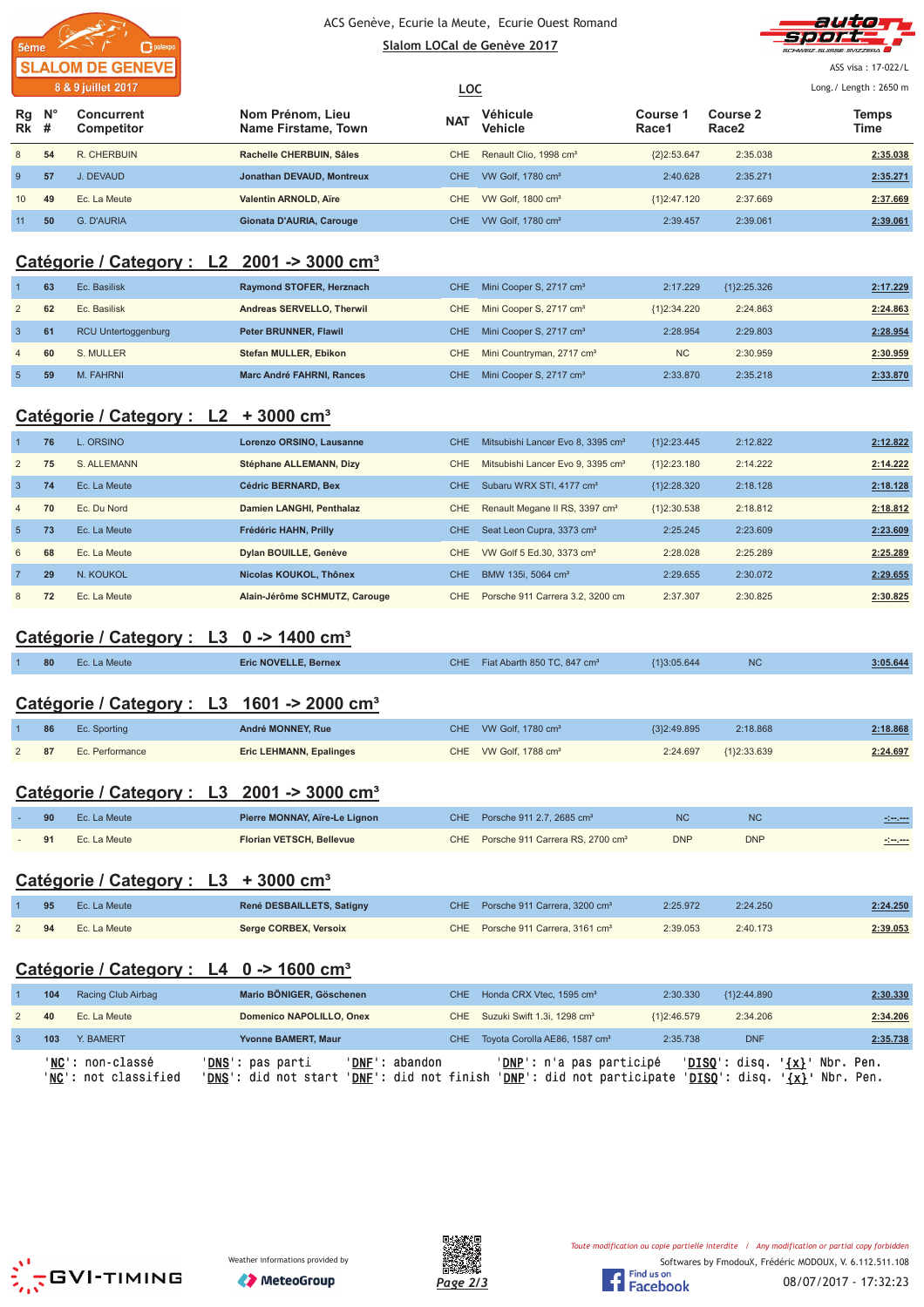



ASS visa: 17-022/L

|                 |             | 8 & 9 juillet 2017              |                                         | <u>LOC</u> |                                    |                 |                               |               |  |
|-----------------|-------------|---------------------------------|-----------------------------------------|------------|------------------------------------|-----------------|-------------------------------|---------------|--|
| Rg<br>$Rk$ #    | $N^{\circ}$ | Concurrent<br><b>Competitor</b> | Nom Prénom, Lieu<br>Name Firstame, Town | <b>NAT</b> | Véhicule<br>Vehicle                | Course<br>Race1 | Course 2<br>Race <sub>2</sub> | Temps<br>Time |  |
| 8               | 54          | R. CHERBUIN                     | Rachelle CHERBUIN, Sâles                | <b>CHE</b> | Renault Clio, 1998 cm <sup>3</sup> | ${2}2:53.647$   | 2:35.038                      | 2:35.038      |  |
| 9               | 57          | J. DEVAUD                       | Jonathan DEVAUD, Montreux               | CHE.       | VW Golf, 1780 cm <sup>3</sup>      | 2:40.628        | 2:35.271                      | 2:35.271      |  |
| 10 <sup>1</sup> | 49          | Ec. La Meute                    | <b>Valentin ARNOLD, Aïre</b>            | CHE.       | VW Golf, 1800 cm <sup>3</sup>      | ${1}2:47.120$   | 2:37.669                      | 2:37.669      |  |
| 11              | 50          | G. D'AURIA                      | Gionata D'AURIA, Carouge                | CHE.       | VW Golf, 1780 cm <sup>3</sup>      | 2:39.457        | 2:39.061                      | 2:39.061      |  |

### **Catégorie / Category : L2 2001 -> 3000 cm³**

|                | 63 | Ec. Basilisk               | Raymond STOFER, Herznach         |     | CHE Mini Cooper S, 2717 cm <sup>3</sup> | 2:17.229      | ${1}2:25.326$ | 2:17.229 |
|----------------|----|----------------------------|----------------------------------|-----|-----------------------------------------|---------------|---------------|----------|
| 2              | 62 | Ec. Basilisk               | Andreas SERVELLO, Therwil        | CHE | Mini Cooper S, 2717 cm <sup>3</sup>     | ${1}2:34.220$ | 2:24.863      | 2:24.863 |
| $\overline{3}$ | 61 | <b>RCU Untertoggenburg</b> | <b>Peter BRUNNER, Flawil</b>     | CHE | Mini Cooper S, 2717 cm <sup>3</sup>     | 2:28.954      | 2:29.803      | 2:28.954 |
| $\overline{4}$ | 60 | S. MULLER                  | Stefan MULLER, Ebikon            | CHE | Mini Countryman, 2717 cm <sup>3</sup>   | <b>NC</b>     | 2:30.959      | 2:30.959 |
| 5              | 59 | M. FAHRNI                  | <b>Marc André FAHRNI, Rances</b> | CHE | Mini Cooper S, 2717 cm <sup>3</sup>     | 2:33.870      | 2:35.218      | 2:33.870 |

### **Catégorie / Category : L2 + 3000 cm³**

|                | 76 | $\overline{a}$ ORSINO | Lorenzo ORSINO, Lausanne      | <b>CHE</b> | Mitsubishi Lancer Evo 8, 3395 cm <sup>3</sup> | ${1}2:23.445$ | 2:12.822 | 2:12.822 |
|----------------|----|-----------------------|-------------------------------|------------|-----------------------------------------------|---------------|----------|----------|
| 2              | 75 | S. ALLEMANN           | Stéphane ALLEMANN, Dizy       | CHE        | Mitsubishi Lancer Evo 9, 3395 cm <sup>3</sup> | ${1}2:23.180$ | 2:14.222 | 2:14.222 |
| $\overline{3}$ | 74 | Ec. La Meute          | <b>Cédric BERNARD, Bex</b>    | CHE.       | Subaru WRX STI, 4177 cm <sup>3</sup>          | {1}2:28.320   | 2:18.128 | 2:18.128 |
| $\overline{4}$ | 70 | Ec. Du Nord           | Damien LANGHI, Penthalaz      | <b>CHE</b> | Renault Megane II RS, 3397 cm <sup>3</sup>    | ${1}2:30.538$ | 2:18.812 | 2:18.812 |
| $5^{\circ}$    | 73 | Ec. La Meute          | Frédéric HAHN, Prilly         | CHE.       | Seat Leon Cupra, 3373 cm <sup>3</sup>         | 2:25.245      | 2:23.609 | 2:23.609 |
| 6              | 68 | Ec. La Meute          | Dylan BOUILLE, Genève         | CHE.       | VW Golf 5 Ed.30, 3373 cm <sup>3</sup>         | 2:28.028      | 2:25.289 | 2:25.289 |
| $\overline{7}$ | 29 | N. KOUKOL             | Nicolas KOUKOL, Thônex        | <b>CHE</b> | BMW 135i, 5064 cm <sup>3</sup>                | 2:29.655      | 2:30.072 | 2:29.655 |
| 8              | 72 | Ec. La Meute          | Alain-Jérôme SCHMUTZ, Carouge | CHE.       | Porsche 911 Carrera 3.2, 3200 cm              | 2:37.307      | 2:30.825 | 2:30.825 |

## **Catégorie / Category : L3 0 -> 1400 cm³**

|  | 80 Ec. La Meute | <b>Eric NOVELLE, Bernex</b> | CHE Fiat Abarth 850 TC, 847 cm <sup>3</sup> | {1}3:05.644 | 3:05.644 |
|--|-----------------|-----------------------------|---------------------------------------------|-------------|----------|
|  |                 |                             |                                             |             |          |

## **Catégorie / Category : L3 1601 -> 2000 cm³**

| 86 | Ec. Sporting    | André MONNEY, Rue              | CHE VW Golf, 1780 cm <sup>3</sup> | ${3}2:49.895$ | 2:18.868    | 2:18.868 |
|----|-----------------|--------------------------------|-----------------------------------|---------------|-------------|----------|
| 87 | Ec. Performance | <b>Eric LEHMANN, Epalinges</b> | CHE VW Golf, 1788 cm <sup>3</sup> | 2:24.697      | {1}2:33.639 | 2:24.697 |

## **Catégorie / Category : L3 2001 -> 3000 cm³**

| 90 | Ec. La Meute | Pierre MONNAY, Aïre-Le Lignon | CHE Porsche 911 2.7, 2685 cm <sup>3</sup>        | <b>NC</b>  | <b>NC</b>  | <u> - 100 - 100 - 100 - 100 - 100 - 100 - 100 - 100 - 100 - 100 - 100 - 100 - 100 - 100 - 100 - 100 - 100 - 100 </u> |
|----|--------------|-------------------------------|--------------------------------------------------|------------|------------|----------------------------------------------------------------------------------------------------------------------|
|    | Ec. La Meute | Florian VETSCH, Bellevue      | CHE Porsche 911 Carrera RS, 2700 cm <sup>3</sup> | <b>DNP</b> | <b>DNP</b> | -1-1-                                                                                                                |

### **Catégorie / Category : L3 + 3000 cm³**

| 95     | Ec. La Meute | René DESBAILLETS, Satigny | CHE Porsche 911 Carrera, 3200 cm <sup>3</sup> | 2:25.972 | 2:24.250 | 2:24.250 |
|--------|--------------|---------------------------|-----------------------------------------------|----------|----------|----------|
| $2$ 94 | Ec. La Meute | Serge CORBEX, Versoix     | CHE Porsche 911 Carrera, 3161 cm <sup>3</sup> | 2:39.053 | 2:40.173 | 2:39.053 |

## **Catégorie / Category : L4 0 -> 1600 cm³**

|   | 104 | Racing Club Airbag                       | Mario BÖNIGER, Göschenen                                                                     | CHE Honda CRX Vtec, 1595 cm <sup>3</sup>               | 2:30.330      | ${1}2:44.890$                      | 2:30.330                                                           |
|---|-----|------------------------------------------|----------------------------------------------------------------------------------------------|--------------------------------------------------------|---------------|------------------------------------|--------------------------------------------------------------------|
| 2 | 40  | Ec. La Meute                             | Domenico NAPOLILLO, Onex                                                                     | CHE Suzuki Swift 1.3i, 1298 cm <sup>3</sup>            | ${1}2:46.579$ | 2:34.206                           | 2:34.206                                                           |
|   | 103 | Y. BAMERT                                | Yvonne BAMERT, Maur                                                                          | CHE Toyota Corolla AE86, 1587 cm <sup>3</sup>          | 2:35.738      | <b>DNF</b>                         | 2:35.738                                                           |
|   |     | 'NC': non-classé<br>'NC': not classified | ' <b>DNS</b> ': pas parti<br>'DNF': abandon<br>'DNS': did not start<br>'DNF': did not finish | 'DNP': n'a pas participé<br>'DNP': did not participate |               | $'DISO':$ disq.<br>$'DISO':$ disq. | Nbr. Pen.<br>$^{\prime}$ {x} $^{\prime}$<br>$\{x\}$ .<br>Nbr. Pen. |







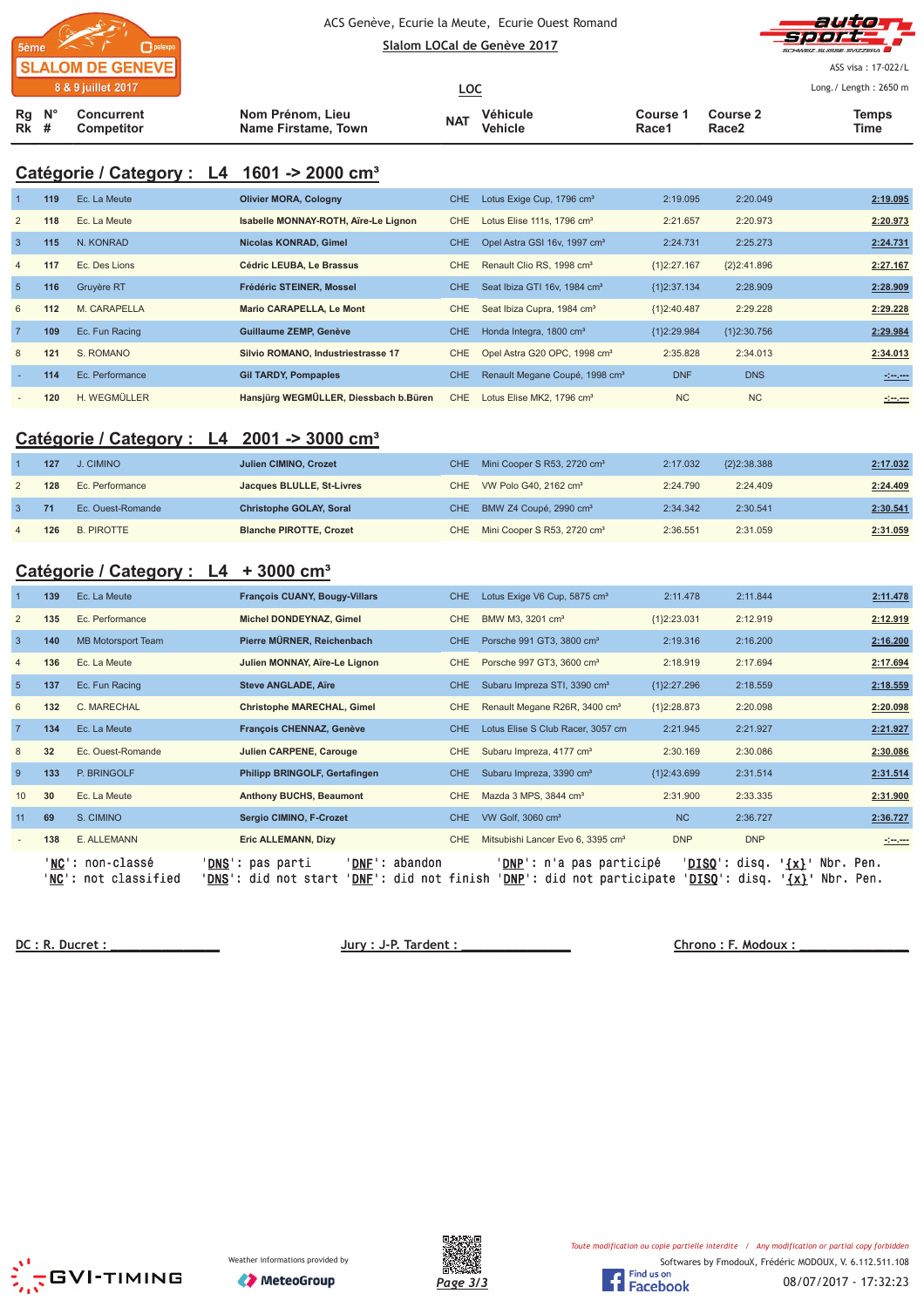

ACS Genève, Ecurie la Meute, Ecurie Ouest Romand





ASS visa: 17-022/L

|        |                  | 8 & 9 juillet 2017              |                                         | <u>LOC</u> |                     |                   |                   | Long./ Length: 2650 m |
|--------|------------------|---------------------------------|-----------------------------------------|------------|---------------------|-------------------|-------------------|-----------------------|
| $Rk$ # | $Rq$ $N^{\circ}$ | Concurrent<br><b>Competitor</b> | Nom Prénom, Lieu<br>Name Firstame, Town | <b>NAT</b> | Véhicule<br>Vehicle | Course 1<br>Race1 | Course 2<br>Race2 | Temps<br>Time         |

## **Catégorie / Category : L4 1601 -> 2000 cm³**

|                | 119 | Ec. La Meute      | <b>Olivier MORA, Cologny</b>          | CHE.       | Lotus Exige Cup, 1796 cm <sup>3</sup>      | 2:19.095      | 2:20.049      | 2:19.095       |
|----------------|-----|-------------------|---------------------------------------|------------|--------------------------------------------|---------------|---------------|----------------|
| 2              | 118 | Ec. La Meute      | Isabelle MONNAY-ROTH, Aïre-Le Lignon  | CHE        | Lotus Elise 111s, 1796 cm <sup>3</sup>     | 2:21.657      | 2:20.973      | 2:20.973       |
| $\overline{3}$ | 115 | N. KONRAD         | Nicolas KONRAD, Gimel                 | CHE.       | Opel Astra GSI 16v, 1997 cm <sup>3</sup>   | 2:24.731      | 2:25.273      | 2:24.731       |
| $\overline{4}$ | 117 | Ec. Des Lions     | Cédric LEUBA. Le Brassus              | CHE.       | Renault Clio RS, 1998 cm <sup>3</sup>      | ${1}2:27.167$ | ${2}2:41.896$ | 2:27.167       |
| $\overline{5}$ | 116 | <b>Gruyère RT</b> | Frédéric STEINER, Mossel              | CHE.       | Seat Ibiza GTI 16v, 1984 cm <sup>3</sup>   | ${1}2:37.134$ | 2:28.909      | 2:28.909       |
| 6              | 112 | M. CARAPELLA      | Mario CARAPELLA, Le Mont              | CHE        | Seat Ibiza Cupra, 1984 cm <sup>3</sup>     | ${1}2:40.487$ | 2:29.228      | 2:29.228       |
|                | 109 | Ec. Fun Racing    | Guillaume ZEMP, Genève                | <b>CHE</b> | Honda Integra, 1800 cm <sup>3</sup>        | {1}2:29.984   | ${12:30.756}$ | 2:29.984       |
| 8              | 121 | S. ROMANO         | Silvio ROMANO, Industriestrasse 17    | CHE        | Opel Astra G20 OPC, 1998 cm <sup>3</sup>   | 2:35.828      | 2:34.013      | 2:34.013       |
|                | 114 | Ec. Performance   | <b>Gil TARDY, Pompaples</b>           | CHE.       | Renault Megane Coupé, 1998 cm <sup>3</sup> | <b>DNF</b>    | <b>DNS</b>    | <u>Simon</u>   |
|                | 120 | H. WEGMÜLLER      | Hansjürg WEGMÜLLER, Diessbach b.Büren | CHE        | Lotus Elise MK2, 1796 cm <sup>3</sup>      | <b>NC</b>     | <b>NC</b>     | <u> 1000 -</u> |

## **Catégorie / Category : L4 2001 -> 3000 cm³**

|   | 127 | J. CIMINO         | Julien CIMINO, Crozet          | CHE Mini Cooper S R53, 2720 cm <sup>3</sup> | 2:17.032 | ${2}2:38.388$ | 2:17.032 |
|---|-----|-------------------|--------------------------------|---------------------------------------------|----------|---------------|----------|
|   | 128 | Ec. Performance   | Jacques BLULLE, St-Livres      | CHE VW Polo G40, 2162 cm <sup>3</sup>       | 2:24.790 | 2:24.409      | 2:24.409 |
|   |     | Ec. Quest-Romande | <b>Christophe GOLAY, Soral</b> | CHE BMW Z4 Coupé, 2990 cm <sup>3</sup>      | 2:34.342 | 2:30.541      | 2:30.541 |
| 4 | 126 | <b>B. PIROTTE</b> | <b>Blanche PIROTTE, Crozet</b> | CHE Mini Cooper S R53, 2720 cm <sup>3</sup> | 2:36.551 | 2:31.059      | 2:31.059 |

## **Catégorie / Category : L4 + 3000 cm³**

|                | 139    | Ec. La Meute                                   | <b>François CUANY, Bougy-Villars</b>                    | CHE                                            |                                               | Lotus Exige V6 Cup, 5875 cm <sup>3</sup>  |                                                                 | 2:11.478<br>2:11.844                           |                          | 2:11.478               |
|----------------|--------|------------------------------------------------|---------------------------------------------------------|------------------------------------------------|-----------------------------------------------|-------------------------------------------|-----------------------------------------------------------------|------------------------------------------------|--------------------------|------------------------|
| $\overline{2}$ | 135    | Ec. Performance                                | Michel DONDEYNAZ, Gimel                                 | <b>CHE</b>                                     | BMW M3, 3201 cm <sup>3</sup>                  |                                           | ${1}2:23.031$                                                   | 2:12.919                                       |                          | 2:12.919               |
| $\overline{3}$ | 140    | <b>MB Motorsport Team</b>                      | Pierre MÜRNER, Reichenbach                              | CHE.                                           | Porsche 991 GT3, 3800 cm <sup>3</sup>         |                                           | 2:19.316                                                        | 2:16.200                                       |                          | 2:16.200               |
| $\overline{4}$ | 136    | Ec. La Meute                                   | Julien MONNAY, Aïre-Le Lignon                           | CHE                                            | Porsche 997 GT3, 3600 cm <sup>3</sup>         |                                           | 2:18.919                                                        | 2:17.694                                       |                          | 2:17.694               |
| $5\phantom{1}$ | 137    | Ec. Fun Racing                                 | <b>Steve ANGLADE, Aïre</b>                              | <b>CHE</b>                                     | Subaru Impreza STI, 3390 cm <sup>3</sup>      |                                           | ${1}2:27.296$                                                   | 2:18.559                                       |                          | 2:18.559               |
| 6              | 132    | C. MARECHAL                                    | <b>Christophe MARECHAL, Gimel</b>                       | <b>CHE</b>                                     |                                               | Renault Megane R26R, 3400 cm <sup>3</sup> | ${1}2:28.873$                                                   | 2:20.098                                       |                          | 2:20.098               |
| $\overline{7}$ | 134    | Ec. La Meute                                   | François CHENNAZ, Genève                                | CHE.                                           | Lotus Elise S Club Racer, 3057 cm             |                                           | 2:21.945                                                        | 2:21.927                                       |                          | 2:21.927               |
| 8              | 32     | Ec. Ouest-Romande                              | Julien CARPENE, Carouge                                 | <b>CHE</b>                                     | Subaru Impreza, 4177 cm <sup>3</sup>          |                                           | 2:30.169                                                        | 2:30.086                                       |                          | 2:30.086               |
| 9              | 133    | P. BRINGOLF                                    | Philipp BRINGOLF, Gertafingen                           | CHE.                                           | Subaru Impreza, 3390 cm <sup>3</sup>          |                                           | ${1}2:43.699$                                                   | 2:31.514                                       |                          | 2:31.514               |
| 10             | 30     | Ec. La Meute                                   | <b>Anthony BUCHS, Beaumont</b>                          | <b>CHE</b>                                     | Mazda 3 MPS, 3844 cm <sup>3</sup>             |                                           | 2:31.900                                                        | 2:33.335                                       |                          | 2:31.900               |
| 11             | 69     | S. CIMINO                                      | Sergio CIMINO, F-Crozet                                 | CHE.                                           | VW Golf, 3060 cm <sup>3</sup>                 |                                           |                                                                 | <b>NC</b><br>2:36.727                          |                          | 2:36.727               |
|                | 138    | E. ALLEMANN                                    | <b>Eric ALLEMANN, Dizy</b>                              | CHE                                            | Mitsubishi Lancer Evo 6, 3395 cm <sup>3</sup> |                                           |                                                                 | <b>DNP</b><br><b>DNP</b>                       |                          | <u> 1999 - 1999</u>    |
|                | ' NC ' | ' <b>NC</b> ': non-classé<br>': not classified | ' <b>DNS</b> ': pas parti<br><b>DNS</b> : did not start | 'DNF': abandon<br><b>DNF</b> ': did not finish |                                               |                                           | ' <b>DNP</b> ': n'a pas participé<br>'DNP': did not participate | ' <b>DISQ':</b> disq.<br>' <b>DISQ':</b> disq. | $\{x\}$ .<br>$'$ $\{x\}$ | Nbr. Pen.<br>Nbr. Pen. |

 **!** 

 **"
#\$ %**





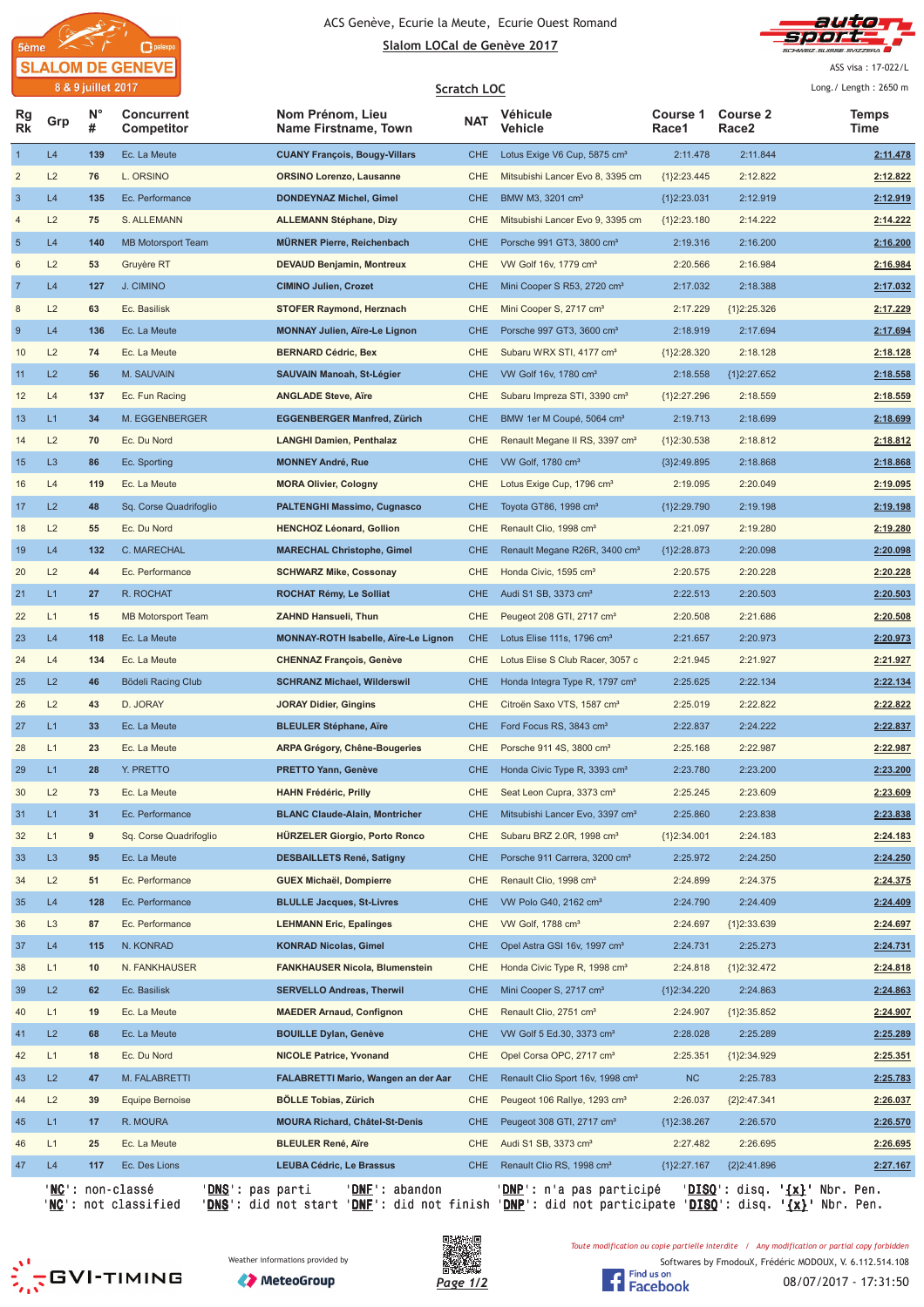



ASS visa: 17-022/L

 $\sqrt{25.25}$ 

| N°<br><b>Course 2</b><br><b>Course 1</b><br>Rg<br><b>Concurrent</b><br>Nom Prénom, Lieu<br><b>Véhicule</b><br>Temps<br><b>NAT</b><br>Grp<br><b>Rk</b><br>#<br>Name Firstname, Town<br>Vehicle<br>Race2<br>Competitor<br>Race1<br>Time<br>$\overline{1}$<br>L4<br>139<br>Ec. La Meute<br><b>CUANY François, Bougy-Villars</b><br><b>CHE</b><br>Lotus Exige V6 Cup, 5875 cm <sup>3</sup><br>2:11.478<br>2:11.844<br>2:11.478<br>$\overline{2}$<br>L2<br>76<br>L. ORSINO<br>CHE<br>2:12.822<br>2:12.822<br>ORSINO Lorenzo, Lausanne<br>Mitsubishi Lancer Evo 8, 3395 cm<br>${1}2:23.445$<br>$\mathbf{3}$<br>L4<br>135<br>Ec. Performance<br>DONDEYNAZ Michel, Gimel<br><b>CHE</b><br>BMW M3, 3201 cm <sup>3</sup><br>{1}2:23.031<br>2:12.919<br>2:12.919<br>$\overline{a}$<br>L2<br>2:14.222<br>75<br>S. ALLEMANN<br><b>ALLEMANN Stéphane, Dizy</b><br><b>CHE</b><br>${1}2:23.180$<br>2:14.222<br>Mitsubishi Lancer Evo 9, 3395 cm<br>$5\phantom{1}$<br>L4<br>140<br><b>MB Motorsport Team</b><br><b>MÜRNER Pierre, Reichenbach</b><br><b>CHE</b><br>Porsche 991 GT3, 3800 cm <sup>3</sup><br>2:16.200<br>2:19.316<br>2:16.200<br>L2<br>6<br>53<br>Gruyère RT<br><b>DEVAUD Benjamin, Montreux</b><br><b>CHE</b><br>VW Golf 16v, 1779 cm <sup>3</sup><br>2:20.566<br>2:16.984<br>2:16.984<br>$\overline{7}$<br>L4<br>127<br><b>CIMINO Julien, Crozet</b><br><b>CHE</b><br>Mini Cooper S R53, 2720 cm <sup>3</sup><br>2:17.032<br>2:18.388<br>2:17.032<br>J. CIMINO<br>$\,$ 8<br>L2<br>63<br>Ec. Basilisk<br><b>STOFER Raymond, Herznach</b><br><b>CHE</b><br>Mini Cooper S, 2717 cm <sup>3</sup><br>2:17.229<br>2:17.229<br>${1}2:25.326$<br>$\overline{9}$<br>L4<br>136<br><b>MONNAY Julien, Aïre-Le Lignon</b><br><b>CHE</b><br>Porsche 997 GT3, 3600 cm <sup>3</sup><br>2:18.919<br>2:17.694<br>Ec. La Meute<br>2:17.694<br>L2<br>10<br>74<br>Ec. La Meute<br><b>BERNARD Cédric, Bex</b><br><b>CHE</b><br>Subaru WRX STI, 4177 cm <sup>3</sup><br>{1}2:28.320<br>2:18.128<br>2:18.128<br>L2<br>56<br>M. SAUVAIN<br>SAUVAIN Manoah, St-Légier<br><b>CHE</b><br>2:18.558<br>11<br>VW Golf 16v, 1780 cm <sup>3</sup><br>2:18.558<br>${1}2:27.652$<br>L4<br>137<br>Ec. Fun Racing<br><b>ANGLADE Steve, Aïre</b><br><b>CHE</b><br>Subaru Impreza STI, 3390 cm <sup>3</sup><br>${1}2:27.296$<br>2:18.559<br>2:18.559<br>12<br>L1<br><b>CHE</b><br>2:18.699<br>13<br>34<br>M. EGGENBERGER<br>EGGENBERGER Manfred, Zürich<br>BMW 1er M Coupé, 5064 cm <sup>3</sup><br>2:19.713<br>2:18.699<br>L2<br>70<br>Ec. Du Nord<br><b>LANGHI Damien, Penthalaz</b><br><b>CHE</b><br>Renault Megane II RS, 3397 cm <sup>3</sup><br>${1}2:30.538$<br>2:18.812<br>2:18.812<br>14<br>L <sub>3</sub><br>15<br>86<br><b>CHE</b><br>VW Golf, 1780 cm <sup>3</sup><br>2:18.868<br>2:18.868<br>Ec. Sporting<br><b>MONNEY André, Rue</b><br>{3}2:49.895<br>L4<br><b>CHE</b><br>Lotus Exige Cup, 1796 cm <sup>3</sup><br>2:19.095<br>16<br>119<br>Ec. La Meute<br><b>MORA Olivier, Cologny</b><br>2:19.095<br>2:20.049<br>L2<br>2:19.198<br>17<br>48<br>Sq. Corse Quadrifoglio<br>PALTENGHI Massimo, Cugnasco<br><b>CHE</b><br>Toyota GT86, 1998 cm <sup>3</sup><br>{1}2:29.790<br>2:19.198<br>L2<br><b>HENCHOZ Léonard, Gollion</b><br><b>CHE</b><br>2:21.097<br>2:19.280<br>2:19.280<br>18<br>55<br>Ec. Du Nord<br>Renault Clio, 1998 cm <sup>3</sup><br>L4<br>19<br>132<br>C. MARECHAL<br><b>MARECHAL Christophe, Gimel</b><br><b>CHE</b><br>Renault Megane R26R, 3400 cm <sup>3</sup><br>2:20.098<br>2:20.098<br>{1}2:28.873<br>L2<br><b>CHE</b><br>2:20.575<br>2:20.228<br>2:20.228<br>20<br>44<br>Ec. Performance<br>SCHWARZ Mike, Cossonay<br>Honda Civic, 1595 cm <sup>3</sup><br>L1<br>21<br>27<br>R. ROCHAT<br>ROCHAT Rémy, Le Solliat<br><b>CHE</b><br>Audi S1 SB, 3373 cm <sup>3</sup><br>2:22.513<br>2:20.503<br>2:20.503<br>L1<br>22<br>15<br><b>MB Motorsport Team</b><br><b>ZAHND Hansueli, Thun</b><br><b>CHE</b><br>2:20.508<br>2:21.686<br>2:20.508<br>Peugeot 208 GTI, 2717 cm <sup>3</sup><br>L4<br>23<br>118<br>Ec. La Meute<br>MONNAY-ROTH Isabelle, Aïre-Le Lignon<br><b>CHE</b><br>2:21.657<br>2:20.973<br>2:20.973<br>Lotus Elise 111s, 1796 cm <sup>3</sup><br>24<br>L4<br>134<br><b>CHE</b><br>2:21.945<br>2:21.927<br>2:21.927<br>Ec. La Meute<br>CHENNAZ François, Genève<br>Lotus Elise S Club Racer, 3057 c<br>L2<br>25<br>46<br>Bödeli Racing Club<br>2:22.134<br>SCHRANZ Michael, Wilderswil<br>CHE<br>Honda Integra Type R, 1797 cm <sup>3</sup><br>2:25.625<br>2:22.134<br>L2<br>26<br>43<br>D. JORAY<br>JORAY Didier, Gingins<br><b>CHE</b><br>Citroën Saxo VTS, 1587 cm <sup>3</sup><br>2:25.019<br>2:22.822<br>2:22.822<br>27<br>L1<br>33<br><b>BLEULER Stéphane, Aïre</b><br><b>CHE</b><br>Ford Focus RS, 3843 cm <sup>3</sup><br>2:22.837<br>2:24.222<br>2:22.837<br>Ec. La Meute<br>L1<br>23<br>Ec. La Meute<br>ARPA Grégory, Chêne-Bougeries<br><b>CHE</b><br>Porsche 911 4S, 3800 cm <sup>3</sup><br>2:25.168<br>2:22.987<br>2:22.987<br>28<br>L1<br>2:23.200<br>29<br>28<br>Y. PRETTO<br><b>CHE</b><br>2:23.780<br>2:23.200<br><b>PRETTO Yann, Genève</b><br>Honda Civic Type R, 3393 cm <sup>3</sup><br>L2<br>73<br>Ec. La Meute<br><b>HAHN Frédéric, Prilly</b><br><b>CHE</b><br>Seat Leon Cupra, 3373 cm <sup>3</sup><br>2:25.245<br>2:23.609<br>2:23.609<br>30<br>L1<br>2:23.838<br>2:23.838<br>31<br>Ec. Performance<br><b>BLANC Claude-Alain, Montricher</b><br><b>CHE</b><br>Mitsubishi Lancer Evo, 3397 cm <sup>3</sup><br>2:25.860<br>31<br>L1<br>9<br>Sq. Corse Quadrifoglio<br>HÜRZELER Giorgio, Porto Ronco<br><b>CHE</b><br>Subaru BRZ 2.0R, 1998 cm <sup>3</sup><br>${1}2:34.001$<br>2:24.183<br>2:24.183<br>32<br>L <sub>3</sub><br>95<br>Ec. La Meute<br><b>DESBAILLETS René, Satigny</b><br><b>CHE</b><br>Porsche 911 Carrera, 3200 cm <sup>3</sup><br>2:25.972<br>2:24.250<br>2:24.250<br>33<br>L2<br>51<br>CHE<br>Renault Clio, 1998 cm <sup>3</sup><br>2:24.899<br>2:24.375<br>34<br>Ec. Performance<br>GUEX Michaël, Dompierre<br>2:24.375<br>L4<br>35<br>128<br>Ec. Performance<br><b>BLULLE Jacques, St-Livres</b><br><b>CHE</b><br>VW Polo G40, 2162 cm <sup>3</sup><br>2:24.790<br>2:24.409<br>2:24.409<br>L <sub>3</sub><br><b>LEHMANN Eric, Epalinges</b><br><b>CHE</b><br>VW Golf, 1788 cm <sup>3</sup><br>2:24.697<br>${1}2:33.639$<br>2:24.697<br>36<br>87<br>Ec. Performance<br>L4<br>37<br>115<br>N. KONRAD<br><b>KONRAD Nicolas, Gimel</b><br><b>CHE</b><br>Opel Astra GSI 16v, 1997 cm <sup>3</sup><br>2:24.731<br>2:25.273<br>2:24.731<br>L1<br><b>CHE</b><br>2:24.818<br>${1}2:32.472$<br>2:24.818<br>38<br>10<br>N. FANKHAUSER<br>FANKHAUSER Nicola, Blumenstein<br>Honda Civic Type R, 1998 cm <sup>3</sup><br>L2<br>39<br>62<br>Ec. Basilisk<br><b>SERVELLO Andreas, Therwil</b><br><b>CHE</b><br>Mini Cooper S, 2717 cm <sup>3</sup><br>{1}2:34.220<br>2:24.863<br>2:24.863<br>L1<br>19<br>Ec. La Meute<br><b>MAEDER Arnaud, Confignon</b><br>CHE<br>Renault Clio, 2751 cm <sup>3</sup><br>2:24.907<br>${1}2:35.852$<br>2:24.907<br>40<br>L2<br>41<br>68<br>Ec. La Meute<br><b>BOUILLE Dylan, Genève</b><br><b>CHE</b><br>VW Golf 5 Ed.30, 3373 cm <sup>3</sup><br>2:28.028<br>2:25.289<br>2:25.289<br>L1<br>Ec. Du Nord<br><b>NICOLE Patrice, Yvonand</b><br><b>CHE</b><br>Opel Corsa OPC, 2717 cm <sup>3</sup><br>2:25.351<br>{1}2:34.929<br>2:25.351<br>42<br>18<br>L2<br>NC<br>43<br>47<br>M. FALABRETTI<br>FALABRETTI Mario, Wangen an der Aar<br><b>CHE</b><br>Renault Clio Sport 16v, 1998 cm <sup>3</sup><br>2:25.783<br>2:25.783<br>L2<br>39<br>Equipe Bernoise<br>BÖLLE Tobias, Zürich<br><b>CHE</b><br>Peugeot 106 Rallye, 1293 cm <sup>3</sup><br>2:26.037<br>${2}2:47.341$<br>2:26.037<br>44<br>L1<br>17<br>R. MOURA<br>MOURA Richard, Châtel-St-Denis<br><b>CHE</b><br>Peugeot 308 GTI, 2717 cm <sup>3</sup><br>${1}2:38.267$<br>2:26.570<br>2:26.570<br>45<br>L1<br>25<br>Ec. La Meute<br><b>BLEULER René, Aïre</b><br>CHE<br>Audi S1 SB, 3373 cm <sup>3</sup><br>2:27.482<br>2:26.695<br>2:26.695<br>46<br>47<br>L4<br>117<br><b>LEUBA Cédric, Le Brassus</b><br>Ec. Des Lions<br>CHE<br>Renault Clio RS, 1998 cm <sup>3</sup><br>{1}2:27.167<br>${2}2:41.896$<br>2:27.167<br>' <mark>NC</mark> ': non-classé<br>' <u>DNS</u> ': pas parti<br>'DNE': abandon<br>' <u>DISQ</u> ': disq. ' <u>{x}</u> ' Nbr. Pen.<br>' <u>DNP</u> ': n'a pas participé |  | 8 & 9 juliet 2017 |  | <b>Scratch LOC</b> |  | Long. / Length: $2650$ m |
|-----------------------------------------------------------------------------------------------------------------------------------------------------------------------------------------------------------------------------------------------------------------------------------------------------------------------------------------------------------------------------------------------------------------------------------------------------------------------------------------------------------------------------------------------------------------------------------------------------------------------------------------------------------------------------------------------------------------------------------------------------------------------------------------------------------------------------------------------------------------------------------------------------------------------------------------------------------------------------------------------------------------------------------------------------------------------------------------------------------------------------------------------------------------------------------------------------------------------------------------------------------------------------------------------------------------------------------------------------------------------------------------------------------------------------------------------------------------------------------------------------------------------------------------------------------------------------------------------------------------------------------------------------------------------------------------------------------------------------------------------------------------------------------------------------------------------------------------------------------------------------------------------------------------------------------------------------------------------------------------------------------------------------------------------------------------------------------------------------------------------------------------------------------------------------------------------------------------------------------------------------------------------------------------------------------------------------------------------------------------------------------------------------------------------------------------------------------------------------------------------------------------------------------------------------------------------------------------------------------------------------------------------------------------------------------------------------------------------------------------------------------------------------------------------------------------------------------------------------------------------------------------------------------------------------------------------------------------------------------------------------------------------------------------------------------------------------------------------------------------------------------------------------------------------------------------------------------------------------------------------------------------------------------------------------------------------------------------------------------------------------------------------------------------------------------------------------------------------------------------------------------------------------------------------------------------------------------------------------------------------------------------------------------------------------------------------------------------------------------------------------------------------------------------------------------------------------------------------------------------------------------------------------------------------------------------------------------------------------------------------------------------------------------------------------------------------------------------------------------------------------------------------------------------------------------------------------------------------------------------------------------------------------------------------------------------------------------------------------------------------------------------------------------------------------------------------------------------------------------------------------------------------------------------------------------------------------------------------------------------------------------------------------------------------------------------------------------------------------------------------------------------------------------------------------------------------------------------------------------------------------------------------------------------------------------------------------------------------------------------------------------------------------------------------------------------------------------------------------------------------------------------------------------------------------------------------------------------------------------------------------------------------------------------------------------------------------------------------------------------------------------------------------------------------------------------------------------------------------------------------------------------------------------------------------------------------------------------------------------------------------------------------------------------------------------------------------------------------------------------------------------------------------------------------------------------------------------------------------------------------------------------------------------------------------------------------------------------------------------------------------------------------------------------------------------------------------------------------------------------------------------------------------------------------------------------------------------------------------------------------------------------------------------------------------------------------------------------------------------------------------------------------------------------------------------------------------------------------------------------------------------------------------------------------------------------------------------------------------------------------------------------------------------------------------------------------------------------------------------------------------------------------------------------------------------------------------------------------------------------------------------------------------------------------------------------------------------------------------------------------------------------------------------------------------------------------------------------------------------------------------------------------------------------------------------------------------------------------------------------------------------------------------------------------------------------------------------------------------------------------------------------------------------------------------------------------------------------------------------------------------------------------------------------------------------------------------------------------------------------------------------------------------------------------------------------------------------------------------------------------------------------------------------------------------------------------------------------------------------------------------------------------------------------------------------------------------------------------------------------------------------------------------------------------------------------------------------------------------------------------------------------------------------------------------------------------------------------------------------------------------------------------------------------------------------------------------|--|-------------------|--|--------------------|--|--------------------------|
|                                                                                                                                                                                                                                                                                                                                                                                                                                                                                                                                                                                                                                                                                                                                                                                                                                                                                                                                                                                                                                                                                                                                                                                                                                                                                                                                                                                                                                                                                                                                                                                                                                                                                                                                                                                                                                                                                                                                                                                                                                                                                                                                                                                                                                                                                                                                                                                                                                                                                                                                                                                                                                                                                                                                                                                                                                                                                                                                                                                                                                                                                                                                                                                                                                                                                                                                                                                                                                                                                                                                                                                                                                                                                                                                                                                                                                                                                                                                                                                                                                                                                                                                                                                                                                                                                                                                                                                                                                                                                                                                                                                                                                                                                                                                                                                                                                                                                                                                                                                                                                                                                                                                                                                                                                                                                                                                                                                                                                                                                                                                                                                                                                                                                                                                                                                                                                                                                                                                                                                                                                                                                                                                                                                                                                                                                                                                                                                                                                                                                                                                                                                                                                                                                                                                                                                                                                                                                                                                                                                                                                                                                                                                                                                                                                                                                                                                                                                                                                                                                                                                                                                                                                                                                                                                                                                                                                                                                                                                                                                                                                                                                                                                                                                                                                                                                                                             |  |                   |  |                    |  |                          |
|                                                                                                                                                                                                                                                                                                                                                                                                                                                                                                                                                                                                                                                                                                                                                                                                                                                                                                                                                                                                                                                                                                                                                                                                                                                                                                                                                                                                                                                                                                                                                                                                                                                                                                                                                                                                                                                                                                                                                                                                                                                                                                                                                                                                                                                                                                                                                                                                                                                                                                                                                                                                                                                                                                                                                                                                                                                                                                                                                                                                                                                                                                                                                                                                                                                                                                                                                                                                                                                                                                                                                                                                                                                                                                                                                                                                                                                                                                                                                                                                                                                                                                                                                                                                                                                                                                                                                                                                                                                                                                                                                                                                                                                                                                                                                                                                                                                                                                                                                                                                                                                                                                                                                                                                                                                                                                                                                                                                                                                                                                                                                                                                                                                                                                                                                                                                                                                                                                                                                                                                                                                                                                                                                                                                                                                                                                                                                                                                                                                                                                                                                                                                                                                                                                                                                                                                                                                                                                                                                                                                                                                                                                                                                                                                                                                                                                                                                                                                                                                                                                                                                                                                                                                                                                                                                                                                                                                                                                                                                                                                                                                                                                                                                                                                                                                                                                                             |  |                   |  |                    |  |                          |
|                                                                                                                                                                                                                                                                                                                                                                                                                                                                                                                                                                                                                                                                                                                                                                                                                                                                                                                                                                                                                                                                                                                                                                                                                                                                                                                                                                                                                                                                                                                                                                                                                                                                                                                                                                                                                                                                                                                                                                                                                                                                                                                                                                                                                                                                                                                                                                                                                                                                                                                                                                                                                                                                                                                                                                                                                                                                                                                                                                                                                                                                                                                                                                                                                                                                                                                                                                                                                                                                                                                                                                                                                                                                                                                                                                                                                                                                                                                                                                                                                                                                                                                                                                                                                                                                                                                                                                                                                                                                                                                                                                                                                                                                                                                                                                                                                                                                                                                                                                                                                                                                                                                                                                                                                                                                                                                                                                                                                                                                                                                                                                                                                                                                                                                                                                                                                                                                                                                                                                                                                                                                                                                                                                                                                                                                                                                                                                                                                                                                                                                                                                                                                                                                                                                                                                                                                                                                                                                                                                                                                                                                                                                                                                                                                                                                                                                                                                                                                                                                                                                                                                                                                                                                                                                                                                                                                                                                                                                                                                                                                                                                                                                                                                                                                                                                                                                             |  |                   |  |                    |  |                          |
|                                                                                                                                                                                                                                                                                                                                                                                                                                                                                                                                                                                                                                                                                                                                                                                                                                                                                                                                                                                                                                                                                                                                                                                                                                                                                                                                                                                                                                                                                                                                                                                                                                                                                                                                                                                                                                                                                                                                                                                                                                                                                                                                                                                                                                                                                                                                                                                                                                                                                                                                                                                                                                                                                                                                                                                                                                                                                                                                                                                                                                                                                                                                                                                                                                                                                                                                                                                                                                                                                                                                                                                                                                                                                                                                                                                                                                                                                                                                                                                                                                                                                                                                                                                                                                                                                                                                                                                                                                                                                                                                                                                                                                                                                                                                                                                                                                                                                                                                                                                                                                                                                                                                                                                                                                                                                                                                                                                                                                                                                                                                                                                                                                                                                                                                                                                                                                                                                                                                                                                                                                                                                                                                                                                                                                                                                                                                                                                                                                                                                                                                                                                                                                                                                                                                                                                                                                                                                                                                                                                                                                                                                                                                                                                                                                                                                                                                                                                                                                                                                                                                                                                                                                                                                                                                                                                                                                                                                                                                                                                                                                                                                                                                                                                                                                                                                                                             |  |                   |  |                    |  |                          |
|                                                                                                                                                                                                                                                                                                                                                                                                                                                                                                                                                                                                                                                                                                                                                                                                                                                                                                                                                                                                                                                                                                                                                                                                                                                                                                                                                                                                                                                                                                                                                                                                                                                                                                                                                                                                                                                                                                                                                                                                                                                                                                                                                                                                                                                                                                                                                                                                                                                                                                                                                                                                                                                                                                                                                                                                                                                                                                                                                                                                                                                                                                                                                                                                                                                                                                                                                                                                                                                                                                                                                                                                                                                                                                                                                                                                                                                                                                                                                                                                                                                                                                                                                                                                                                                                                                                                                                                                                                                                                                                                                                                                                                                                                                                                                                                                                                                                                                                                                                                                                                                                                                                                                                                                                                                                                                                                                                                                                                                                                                                                                                                                                                                                                                                                                                                                                                                                                                                                                                                                                                                                                                                                                                                                                                                                                                                                                                                                                                                                                                                                                                                                                                                                                                                                                                                                                                                                                                                                                                                                                                                                                                                                                                                                                                                                                                                                                                                                                                                                                                                                                                                                                                                                                                                                                                                                                                                                                                                                                                                                                                                                                                                                                                                                                                                                                                                             |  |                   |  |                    |  |                          |
|                                                                                                                                                                                                                                                                                                                                                                                                                                                                                                                                                                                                                                                                                                                                                                                                                                                                                                                                                                                                                                                                                                                                                                                                                                                                                                                                                                                                                                                                                                                                                                                                                                                                                                                                                                                                                                                                                                                                                                                                                                                                                                                                                                                                                                                                                                                                                                                                                                                                                                                                                                                                                                                                                                                                                                                                                                                                                                                                                                                                                                                                                                                                                                                                                                                                                                                                                                                                                                                                                                                                                                                                                                                                                                                                                                                                                                                                                                                                                                                                                                                                                                                                                                                                                                                                                                                                                                                                                                                                                                                                                                                                                                                                                                                                                                                                                                                                                                                                                                                                                                                                                                                                                                                                                                                                                                                                                                                                                                                                                                                                                                                                                                                                                                                                                                                                                                                                                                                                                                                                                                                                                                                                                                                                                                                                                                                                                                                                                                                                                                                                                                                                                                                                                                                                                                                                                                                                                                                                                                                                                                                                                                                                                                                                                                                                                                                                                                                                                                                                                                                                                                                                                                                                                                                                                                                                                                                                                                                                                                                                                                                                                                                                                                                                                                                                                                                             |  |                   |  |                    |  |                          |
|                                                                                                                                                                                                                                                                                                                                                                                                                                                                                                                                                                                                                                                                                                                                                                                                                                                                                                                                                                                                                                                                                                                                                                                                                                                                                                                                                                                                                                                                                                                                                                                                                                                                                                                                                                                                                                                                                                                                                                                                                                                                                                                                                                                                                                                                                                                                                                                                                                                                                                                                                                                                                                                                                                                                                                                                                                                                                                                                                                                                                                                                                                                                                                                                                                                                                                                                                                                                                                                                                                                                                                                                                                                                                                                                                                                                                                                                                                                                                                                                                                                                                                                                                                                                                                                                                                                                                                                                                                                                                                                                                                                                                                                                                                                                                                                                                                                                                                                                                                                                                                                                                                                                                                                                                                                                                                                                                                                                                                                                                                                                                                                                                                                                                                                                                                                                                                                                                                                                                                                                                                                                                                                                                                                                                                                                                                                                                                                                                                                                                                                                                                                                                                                                                                                                                                                                                                                                                                                                                                                                                                                                                                                                                                                                                                                                                                                                                                                                                                                                                                                                                                                                                                                                                                                                                                                                                                                                                                                                                                                                                                                                                                                                                                                                                                                                                                                             |  |                   |  |                    |  |                          |
|                                                                                                                                                                                                                                                                                                                                                                                                                                                                                                                                                                                                                                                                                                                                                                                                                                                                                                                                                                                                                                                                                                                                                                                                                                                                                                                                                                                                                                                                                                                                                                                                                                                                                                                                                                                                                                                                                                                                                                                                                                                                                                                                                                                                                                                                                                                                                                                                                                                                                                                                                                                                                                                                                                                                                                                                                                                                                                                                                                                                                                                                                                                                                                                                                                                                                                                                                                                                                                                                                                                                                                                                                                                                                                                                                                                                                                                                                                                                                                                                                                                                                                                                                                                                                                                                                                                                                                                                                                                                                                                                                                                                                                                                                                                                                                                                                                                                                                                                                                                                                                                                                                                                                                                                                                                                                                                                                                                                                                                                                                                                                                                                                                                                                                                                                                                                                                                                                                                                                                                                                                                                                                                                                                                                                                                                                                                                                                                                                                                                                                                                                                                                                                                                                                                                                                                                                                                                                                                                                                                                                                                                                                                                                                                                                                                                                                                                                                                                                                                                                                                                                                                                                                                                                                                                                                                                                                                                                                                                                                                                                                                                                                                                                                                                                                                                                                                             |  |                   |  |                    |  |                          |
|                                                                                                                                                                                                                                                                                                                                                                                                                                                                                                                                                                                                                                                                                                                                                                                                                                                                                                                                                                                                                                                                                                                                                                                                                                                                                                                                                                                                                                                                                                                                                                                                                                                                                                                                                                                                                                                                                                                                                                                                                                                                                                                                                                                                                                                                                                                                                                                                                                                                                                                                                                                                                                                                                                                                                                                                                                                                                                                                                                                                                                                                                                                                                                                                                                                                                                                                                                                                                                                                                                                                                                                                                                                                                                                                                                                                                                                                                                                                                                                                                                                                                                                                                                                                                                                                                                                                                                                                                                                                                                                                                                                                                                                                                                                                                                                                                                                                                                                                                                                                                                                                                                                                                                                                                                                                                                                                                                                                                                                                                                                                                                                                                                                                                                                                                                                                                                                                                                                                                                                                                                                                                                                                                                                                                                                                                                                                                                                                                                                                                                                                                                                                                                                                                                                                                                                                                                                                                                                                                                                                                                                                                                                                                                                                                                                                                                                                                                                                                                                                                                                                                                                                                                                                                                                                                                                                                                                                                                                                                                                                                                                                                                                                                                                                                                                                                                                             |  |                   |  |                    |  |                          |
|                                                                                                                                                                                                                                                                                                                                                                                                                                                                                                                                                                                                                                                                                                                                                                                                                                                                                                                                                                                                                                                                                                                                                                                                                                                                                                                                                                                                                                                                                                                                                                                                                                                                                                                                                                                                                                                                                                                                                                                                                                                                                                                                                                                                                                                                                                                                                                                                                                                                                                                                                                                                                                                                                                                                                                                                                                                                                                                                                                                                                                                                                                                                                                                                                                                                                                                                                                                                                                                                                                                                                                                                                                                                                                                                                                                                                                                                                                                                                                                                                                                                                                                                                                                                                                                                                                                                                                                                                                                                                                                                                                                                                                                                                                                                                                                                                                                                                                                                                                                                                                                                                                                                                                                                                                                                                                                                                                                                                                                                                                                                                                                                                                                                                                                                                                                                                                                                                                                                                                                                                                                                                                                                                                                                                                                                                                                                                                                                                                                                                                                                                                                                                                                                                                                                                                                                                                                                                                                                                                                                                                                                                                                                                                                                                                                                                                                                                                                                                                                                                                                                                                                                                                                                                                                                                                                                                                                                                                                                                                                                                                                                                                                                                                                                                                                                                                                             |  |                   |  |                    |  |                          |
|                                                                                                                                                                                                                                                                                                                                                                                                                                                                                                                                                                                                                                                                                                                                                                                                                                                                                                                                                                                                                                                                                                                                                                                                                                                                                                                                                                                                                                                                                                                                                                                                                                                                                                                                                                                                                                                                                                                                                                                                                                                                                                                                                                                                                                                                                                                                                                                                                                                                                                                                                                                                                                                                                                                                                                                                                                                                                                                                                                                                                                                                                                                                                                                                                                                                                                                                                                                                                                                                                                                                                                                                                                                                                                                                                                                                                                                                                                                                                                                                                                                                                                                                                                                                                                                                                                                                                                                                                                                                                                                                                                                                                                                                                                                                                                                                                                                                                                                                                                                                                                                                                                                                                                                                                                                                                                                                                                                                                                                                                                                                                                                                                                                                                                                                                                                                                                                                                                                                                                                                                                                                                                                                                                                                                                                                                                                                                                                                                                                                                                                                                                                                                                                                                                                                                                                                                                                                                                                                                                                                                                                                                                                                                                                                                                                                                                                                                                                                                                                                                                                                                                                                                                                                                                                                                                                                                                                                                                                                                                                                                                                                                                                                                                                                                                                                                                                             |  |                   |  |                    |  |                          |
|                                                                                                                                                                                                                                                                                                                                                                                                                                                                                                                                                                                                                                                                                                                                                                                                                                                                                                                                                                                                                                                                                                                                                                                                                                                                                                                                                                                                                                                                                                                                                                                                                                                                                                                                                                                                                                                                                                                                                                                                                                                                                                                                                                                                                                                                                                                                                                                                                                                                                                                                                                                                                                                                                                                                                                                                                                                                                                                                                                                                                                                                                                                                                                                                                                                                                                                                                                                                                                                                                                                                                                                                                                                                                                                                                                                                                                                                                                                                                                                                                                                                                                                                                                                                                                                                                                                                                                                                                                                                                                                                                                                                                                                                                                                                                                                                                                                                                                                                                                                                                                                                                                                                                                                                                                                                                                                                                                                                                                                                                                                                                                                                                                                                                                                                                                                                                                                                                                                                                                                                                                                                                                                                                                                                                                                                                                                                                                                                                                                                                                                                                                                                                                                                                                                                                                                                                                                                                                                                                                                                                                                                                                                                                                                                                                                                                                                                                                                                                                                                                                                                                                                                                                                                                                                                                                                                                                                                                                                                                                                                                                                                                                                                                                                                                                                                                                                             |  |                   |  |                    |  |                          |
|                                                                                                                                                                                                                                                                                                                                                                                                                                                                                                                                                                                                                                                                                                                                                                                                                                                                                                                                                                                                                                                                                                                                                                                                                                                                                                                                                                                                                                                                                                                                                                                                                                                                                                                                                                                                                                                                                                                                                                                                                                                                                                                                                                                                                                                                                                                                                                                                                                                                                                                                                                                                                                                                                                                                                                                                                                                                                                                                                                                                                                                                                                                                                                                                                                                                                                                                                                                                                                                                                                                                                                                                                                                                                                                                                                                                                                                                                                                                                                                                                                                                                                                                                                                                                                                                                                                                                                                                                                                                                                                                                                                                                                                                                                                                                                                                                                                                                                                                                                                                                                                                                                                                                                                                                                                                                                                                                                                                                                                                                                                                                                                                                                                                                                                                                                                                                                                                                                                                                                                                                                                                                                                                                                                                                                                                                                                                                                                                                                                                                                                                                                                                                                                                                                                                                                                                                                                                                                                                                                                                                                                                                                                                                                                                                                                                                                                                                                                                                                                                                                                                                                                                                                                                                                                                                                                                                                                                                                                                                                                                                                                                                                                                                                                                                                                                                                                             |  |                   |  |                    |  |                          |
|                                                                                                                                                                                                                                                                                                                                                                                                                                                                                                                                                                                                                                                                                                                                                                                                                                                                                                                                                                                                                                                                                                                                                                                                                                                                                                                                                                                                                                                                                                                                                                                                                                                                                                                                                                                                                                                                                                                                                                                                                                                                                                                                                                                                                                                                                                                                                                                                                                                                                                                                                                                                                                                                                                                                                                                                                                                                                                                                                                                                                                                                                                                                                                                                                                                                                                                                                                                                                                                                                                                                                                                                                                                                                                                                                                                                                                                                                                                                                                                                                                                                                                                                                                                                                                                                                                                                                                                                                                                                                                                                                                                                                                                                                                                                                                                                                                                                                                                                                                                                                                                                                                                                                                                                                                                                                                                                                                                                                                                                                                                                                                                                                                                                                                                                                                                                                                                                                                                                                                                                                                                                                                                                                                                                                                                                                                                                                                                                                                                                                                                                                                                                                                                                                                                                                                                                                                                                                                                                                                                                                                                                                                                                                                                                                                                                                                                                                                                                                                                                                                                                                                                                                                                                                                                                                                                                                                                                                                                                                                                                                                                                                                                                                                                                                                                                                                                             |  |                   |  |                    |  |                          |
|                                                                                                                                                                                                                                                                                                                                                                                                                                                                                                                                                                                                                                                                                                                                                                                                                                                                                                                                                                                                                                                                                                                                                                                                                                                                                                                                                                                                                                                                                                                                                                                                                                                                                                                                                                                                                                                                                                                                                                                                                                                                                                                                                                                                                                                                                                                                                                                                                                                                                                                                                                                                                                                                                                                                                                                                                                                                                                                                                                                                                                                                                                                                                                                                                                                                                                                                                                                                                                                                                                                                                                                                                                                                                                                                                                                                                                                                                                                                                                                                                                                                                                                                                                                                                                                                                                                                                                                                                                                                                                                                                                                                                                                                                                                                                                                                                                                                                                                                                                                                                                                                                                                                                                                                                                                                                                                                                                                                                                                                                                                                                                                                                                                                                                                                                                                                                                                                                                                                                                                                                                                                                                                                                                                                                                                                                                                                                                                                                                                                                                                                                                                                                                                                                                                                                                                                                                                                                                                                                                                                                                                                                                                                                                                                                                                                                                                                                                                                                                                                                                                                                                                                                                                                                                                                                                                                                                                                                                                                                                                                                                                                                                                                                                                                                                                                                                                             |  |                   |  |                    |  |                          |
|                                                                                                                                                                                                                                                                                                                                                                                                                                                                                                                                                                                                                                                                                                                                                                                                                                                                                                                                                                                                                                                                                                                                                                                                                                                                                                                                                                                                                                                                                                                                                                                                                                                                                                                                                                                                                                                                                                                                                                                                                                                                                                                                                                                                                                                                                                                                                                                                                                                                                                                                                                                                                                                                                                                                                                                                                                                                                                                                                                                                                                                                                                                                                                                                                                                                                                                                                                                                                                                                                                                                                                                                                                                                                                                                                                                                                                                                                                                                                                                                                                                                                                                                                                                                                                                                                                                                                                                                                                                                                                                                                                                                                                                                                                                                                                                                                                                                                                                                                                                                                                                                                                                                                                                                                                                                                                                                                                                                                                                                                                                                                                                                                                                                                                                                                                                                                                                                                                                                                                                                                                                                                                                                                                                                                                                                                                                                                                                                                                                                                                                                                                                                                                                                                                                                                                                                                                                                                                                                                                                                                                                                                                                                                                                                                                                                                                                                                                                                                                                                                                                                                                                                                                                                                                                                                                                                                                                                                                                                                                                                                                                                                                                                                                                                                                                                                                                             |  |                   |  |                    |  |                          |
|                                                                                                                                                                                                                                                                                                                                                                                                                                                                                                                                                                                                                                                                                                                                                                                                                                                                                                                                                                                                                                                                                                                                                                                                                                                                                                                                                                                                                                                                                                                                                                                                                                                                                                                                                                                                                                                                                                                                                                                                                                                                                                                                                                                                                                                                                                                                                                                                                                                                                                                                                                                                                                                                                                                                                                                                                                                                                                                                                                                                                                                                                                                                                                                                                                                                                                                                                                                                                                                                                                                                                                                                                                                                                                                                                                                                                                                                                                                                                                                                                                                                                                                                                                                                                                                                                                                                                                                                                                                                                                                                                                                                                                                                                                                                                                                                                                                                                                                                                                                                                                                                                                                                                                                                                                                                                                                                                                                                                                                                                                                                                                                                                                                                                                                                                                                                                                                                                                                                                                                                                                                                                                                                                                                                                                                                                                                                                                                                                                                                                                                                                                                                                                                                                                                                                                                                                                                                                                                                                                                                                                                                                                                                                                                                                                                                                                                                                                                                                                                                                                                                                                                                                                                                                                                                                                                                                                                                                                                                                                                                                                                                                                                                                                                                                                                                                                                             |  |                   |  |                    |  |                          |
|                                                                                                                                                                                                                                                                                                                                                                                                                                                                                                                                                                                                                                                                                                                                                                                                                                                                                                                                                                                                                                                                                                                                                                                                                                                                                                                                                                                                                                                                                                                                                                                                                                                                                                                                                                                                                                                                                                                                                                                                                                                                                                                                                                                                                                                                                                                                                                                                                                                                                                                                                                                                                                                                                                                                                                                                                                                                                                                                                                                                                                                                                                                                                                                                                                                                                                                                                                                                                                                                                                                                                                                                                                                                                                                                                                                                                                                                                                                                                                                                                                                                                                                                                                                                                                                                                                                                                                                                                                                                                                                                                                                                                                                                                                                                                                                                                                                                                                                                                                                                                                                                                                                                                                                                                                                                                                                                                                                                                                                                                                                                                                                                                                                                                                                                                                                                                                                                                                                                                                                                                                                                                                                                                                                                                                                                                                                                                                                                                                                                                                                                                                                                                                                                                                                                                                                                                                                                                                                                                                                                                                                                                                                                                                                                                                                                                                                                                                                                                                                                                                                                                                                                                                                                                                                                                                                                                                                                                                                                                                                                                                                                                                                                                                                                                                                                                                                             |  |                   |  |                    |  |                          |
|                                                                                                                                                                                                                                                                                                                                                                                                                                                                                                                                                                                                                                                                                                                                                                                                                                                                                                                                                                                                                                                                                                                                                                                                                                                                                                                                                                                                                                                                                                                                                                                                                                                                                                                                                                                                                                                                                                                                                                                                                                                                                                                                                                                                                                                                                                                                                                                                                                                                                                                                                                                                                                                                                                                                                                                                                                                                                                                                                                                                                                                                                                                                                                                                                                                                                                                                                                                                                                                                                                                                                                                                                                                                                                                                                                                                                                                                                                                                                                                                                                                                                                                                                                                                                                                                                                                                                                                                                                                                                                                                                                                                                                                                                                                                                                                                                                                                                                                                                                                                                                                                                                                                                                                                                                                                                                                                                                                                                                                                                                                                                                                                                                                                                                                                                                                                                                                                                                                                                                                                                                                                                                                                                                                                                                                                                                                                                                                                                                                                                                                                                                                                                                                                                                                                                                                                                                                                                                                                                                                                                                                                                                                                                                                                                                                                                                                                                                                                                                                                                                                                                                                                                                                                                                                                                                                                                                                                                                                                                                                                                                                                                                                                                                                                                                                                                                                             |  |                   |  |                    |  |                          |
|                                                                                                                                                                                                                                                                                                                                                                                                                                                                                                                                                                                                                                                                                                                                                                                                                                                                                                                                                                                                                                                                                                                                                                                                                                                                                                                                                                                                                                                                                                                                                                                                                                                                                                                                                                                                                                                                                                                                                                                                                                                                                                                                                                                                                                                                                                                                                                                                                                                                                                                                                                                                                                                                                                                                                                                                                                                                                                                                                                                                                                                                                                                                                                                                                                                                                                                                                                                                                                                                                                                                                                                                                                                                                                                                                                                                                                                                                                                                                                                                                                                                                                                                                                                                                                                                                                                                                                                                                                                                                                                                                                                                                                                                                                                                                                                                                                                                                                                                                                                                                                                                                                                                                                                                                                                                                                                                                                                                                                                                                                                                                                                                                                                                                                                                                                                                                                                                                                                                                                                                                                                                                                                                                                                                                                                                                                                                                                                                                                                                                                                                                                                                                                                                                                                                                                                                                                                                                                                                                                                                                                                                                                                                                                                                                                                                                                                                                                                                                                                                                                                                                                                                                                                                                                                                                                                                                                                                                                                                                                                                                                                                                                                                                                                                                                                                                                                             |  |                   |  |                    |  |                          |
|                                                                                                                                                                                                                                                                                                                                                                                                                                                                                                                                                                                                                                                                                                                                                                                                                                                                                                                                                                                                                                                                                                                                                                                                                                                                                                                                                                                                                                                                                                                                                                                                                                                                                                                                                                                                                                                                                                                                                                                                                                                                                                                                                                                                                                                                                                                                                                                                                                                                                                                                                                                                                                                                                                                                                                                                                                                                                                                                                                                                                                                                                                                                                                                                                                                                                                                                                                                                                                                                                                                                                                                                                                                                                                                                                                                                                                                                                                                                                                                                                                                                                                                                                                                                                                                                                                                                                                                                                                                                                                                                                                                                                                                                                                                                                                                                                                                                                                                                                                                                                                                                                                                                                                                                                                                                                                                                                                                                                                                                                                                                                                                                                                                                                                                                                                                                                                                                                                                                                                                                                                                                                                                                                                                                                                                                                                                                                                                                                                                                                                                                                                                                                                                                                                                                                                                                                                                                                                                                                                                                                                                                                                                                                                                                                                                                                                                                                                                                                                                                                                                                                                                                                                                                                                                                                                                                                                                                                                                                                                                                                                                                                                                                                                                                                                                                                                                             |  |                   |  |                    |  |                          |
|                                                                                                                                                                                                                                                                                                                                                                                                                                                                                                                                                                                                                                                                                                                                                                                                                                                                                                                                                                                                                                                                                                                                                                                                                                                                                                                                                                                                                                                                                                                                                                                                                                                                                                                                                                                                                                                                                                                                                                                                                                                                                                                                                                                                                                                                                                                                                                                                                                                                                                                                                                                                                                                                                                                                                                                                                                                                                                                                                                                                                                                                                                                                                                                                                                                                                                                                                                                                                                                                                                                                                                                                                                                                                                                                                                                                                                                                                                                                                                                                                                                                                                                                                                                                                                                                                                                                                                                                                                                                                                                                                                                                                                                                                                                                                                                                                                                                                                                                                                                                                                                                                                                                                                                                                                                                                                                                                                                                                                                                                                                                                                                                                                                                                                                                                                                                                                                                                                                                                                                                                                                                                                                                                                                                                                                                                                                                                                                                                                                                                                                                                                                                                                                                                                                                                                                                                                                                                                                                                                                                                                                                                                                                                                                                                                                                                                                                                                                                                                                                                                                                                                                                                                                                                                                                                                                                                                                                                                                                                                                                                                                                                                                                                                                                                                                                                                                             |  |                   |  |                    |  |                          |
|                                                                                                                                                                                                                                                                                                                                                                                                                                                                                                                                                                                                                                                                                                                                                                                                                                                                                                                                                                                                                                                                                                                                                                                                                                                                                                                                                                                                                                                                                                                                                                                                                                                                                                                                                                                                                                                                                                                                                                                                                                                                                                                                                                                                                                                                                                                                                                                                                                                                                                                                                                                                                                                                                                                                                                                                                                                                                                                                                                                                                                                                                                                                                                                                                                                                                                                                                                                                                                                                                                                                                                                                                                                                                                                                                                                                                                                                                                                                                                                                                                                                                                                                                                                                                                                                                                                                                                                                                                                                                                                                                                                                                                                                                                                                                                                                                                                                                                                                                                                                                                                                                                                                                                                                                                                                                                                                                                                                                                                                                                                                                                                                                                                                                                                                                                                                                                                                                                                                                                                                                                                                                                                                                                                                                                                                                                                                                                                                                                                                                                                                                                                                                                                                                                                                                                                                                                                                                                                                                                                                                                                                                                                                                                                                                                                                                                                                                                                                                                                                                                                                                                                                                                                                                                                                                                                                                                                                                                                                                                                                                                                                                                                                                                                                                                                                                                                             |  |                   |  |                    |  |                          |
|                                                                                                                                                                                                                                                                                                                                                                                                                                                                                                                                                                                                                                                                                                                                                                                                                                                                                                                                                                                                                                                                                                                                                                                                                                                                                                                                                                                                                                                                                                                                                                                                                                                                                                                                                                                                                                                                                                                                                                                                                                                                                                                                                                                                                                                                                                                                                                                                                                                                                                                                                                                                                                                                                                                                                                                                                                                                                                                                                                                                                                                                                                                                                                                                                                                                                                                                                                                                                                                                                                                                                                                                                                                                                                                                                                                                                                                                                                                                                                                                                                                                                                                                                                                                                                                                                                                                                                                                                                                                                                                                                                                                                                                                                                                                                                                                                                                                                                                                                                                                                                                                                                                                                                                                                                                                                                                                                                                                                                                                                                                                                                                                                                                                                                                                                                                                                                                                                                                                                                                                                                                                                                                                                                                                                                                                                                                                                                                                                                                                                                                                                                                                                                                                                                                                                                                                                                                                                                                                                                                                                                                                                                                                                                                                                                                                                                                                                                                                                                                                                                                                                                                                                                                                                                                                                                                                                                                                                                                                                                                                                                                                                                                                                                                                                                                                                                                             |  |                   |  |                    |  |                          |
|                                                                                                                                                                                                                                                                                                                                                                                                                                                                                                                                                                                                                                                                                                                                                                                                                                                                                                                                                                                                                                                                                                                                                                                                                                                                                                                                                                                                                                                                                                                                                                                                                                                                                                                                                                                                                                                                                                                                                                                                                                                                                                                                                                                                                                                                                                                                                                                                                                                                                                                                                                                                                                                                                                                                                                                                                                                                                                                                                                                                                                                                                                                                                                                                                                                                                                                                                                                                                                                                                                                                                                                                                                                                                                                                                                                                                                                                                                                                                                                                                                                                                                                                                                                                                                                                                                                                                                                                                                                                                                                                                                                                                                                                                                                                                                                                                                                                                                                                                                                                                                                                                                                                                                                                                                                                                                                                                                                                                                                                                                                                                                                                                                                                                                                                                                                                                                                                                                                                                                                                                                                                                                                                                                                                                                                                                                                                                                                                                                                                                                                                                                                                                                                                                                                                                                                                                                                                                                                                                                                                                                                                                                                                                                                                                                                                                                                                                                                                                                                                                                                                                                                                                                                                                                                                                                                                                                                                                                                                                                                                                                                                                                                                                                                                                                                                                                                             |  |                   |  |                    |  |                          |
|                                                                                                                                                                                                                                                                                                                                                                                                                                                                                                                                                                                                                                                                                                                                                                                                                                                                                                                                                                                                                                                                                                                                                                                                                                                                                                                                                                                                                                                                                                                                                                                                                                                                                                                                                                                                                                                                                                                                                                                                                                                                                                                                                                                                                                                                                                                                                                                                                                                                                                                                                                                                                                                                                                                                                                                                                                                                                                                                                                                                                                                                                                                                                                                                                                                                                                                                                                                                                                                                                                                                                                                                                                                                                                                                                                                                                                                                                                                                                                                                                                                                                                                                                                                                                                                                                                                                                                                                                                                                                                                                                                                                                                                                                                                                                                                                                                                                                                                                                                                                                                                                                                                                                                                                                                                                                                                                                                                                                                                                                                                                                                                                                                                                                                                                                                                                                                                                                                                                                                                                                                                                                                                                                                                                                                                                                                                                                                                                                                                                                                                                                                                                                                                                                                                                                                                                                                                                                                                                                                                                                                                                                                                                                                                                                                                                                                                                                                                                                                                                                                                                                                                                                                                                                                                                                                                                                                                                                                                                                                                                                                                                                                                                                                                                                                                                                                                             |  |                   |  |                    |  |                          |
|                                                                                                                                                                                                                                                                                                                                                                                                                                                                                                                                                                                                                                                                                                                                                                                                                                                                                                                                                                                                                                                                                                                                                                                                                                                                                                                                                                                                                                                                                                                                                                                                                                                                                                                                                                                                                                                                                                                                                                                                                                                                                                                                                                                                                                                                                                                                                                                                                                                                                                                                                                                                                                                                                                                                                                                                                                                                                                                                                                                                                                                                                                                                                                                                                                                                                                                                                                                                                                                                                                                                                                                                                                                                                                                                                                                                                                                                                                                                                                                                                                                                                                                                                                                                                                                                                                                                                                                                                                                                                                                                                                                                                                                                                                                                                                                                                                                                                                                                                                                                                                                                                                                                                                                                                                                                                                                                                                                                                                                                                                                                                                                                                                                                                                                                                                                                                                                                                                                                                                                                                                                                                                                                                                                                                                                                                                                                                                                                                                                                                                                                                                                                                                                                                                                                                                                                                                                                                                                                                                                                                                                                                                                                                                                                                                                                                                                                                                                                                                                                                                                                                                                                                                                                                                                                                                                                                                                                                                                                                                                                                                                                                                                                                                                                                                                                                                                             |  |                   |  |                    |  |                          |
|                                                                                                                                                                                                                                                                                                                                                                                                                                                                                                                                                                                                                                                                                                                                                                                                                                                                                                                                                                                                                                                                                                                                                                                                                                                                                                                                                                                                                                                                                                                                                                                                                                                                                                                                                                                                                                                                                                                                                                                                                                                                                                                                                                                                                                                                                                                                                                                                                                                                                                                                                                                                                                                                                                                                                                                                                                                                                                                                                                                                                                                                                                                                                                                                                                                                                                                                                                                                                                                                                                                                                                                                                                                                                                                                                                                                                                                                                                                                                                                                                                                                                                                                                                                                                                                                                                                                                                                                                                                                                                                                                                                                                                                                                                                                                                                                                                                                                                                                                                                                                                                                                                                                                                                                                                                                                                                                                                                                                                                                                                                                                                                                                                                                                                                                                                                                                                                                                                                                                                                                                                                                                                                                                                                                                                                                                                                                                                                                                                                                                                                                                                                                                                                                                                                                                                                                                                                                                                                                                                                                                                                                                                                                                                                                                                                                                                                                                                                                                                                                                                                                                                                                                                                                                                                                                                                                                                                                                                                                                                                                                                                                                                                                                                                                                                                                                                                             |  |                   |  |                    |  |                          |
|                                                                                                                                                                                                                                                                                                                                                                                                                                                                                                                                                                                                                                                                                                                                                                                                                                                                                                                                                                                                                                                                                                                                                                                                                                                                                                                                                                                                                                                                                                                                                                                                                                                                                                                                                                                                                                                                                                                                                                                                                                                                                                                                                                                                                                                                                                                                                                                                                                                                                                                                                                                                                                                                                                                                                                                                                                                                                                                                                                                                                                                                                                                                                                                                                                                                                                                                                                                                                                                                                                                                                                                                                                                                                                                                                                                                                                                                                                                                                                                                                                                                                                                                                                                                                                                                                                                                                                                                                                                                                                                                                                                                                                                                                                                                                                                                                                                                                                                                                                                                                                                                                                                                                                                                                                                                                                                                                                                                                                                                                                                                                                                                                                                                                                                                                                                                                                                                                                                                                                                                                                                                                                                                                                                                                                                                                                                                                                                                                                                                                                                                                                                                                                                                                                                                                                                                                                                                                                                                                                                                                                                                                                                                                                                                                                                                                                                                                                                                                                                                                                                                                                                                                                                                                                                                                                                                                                                                                                                                                                                                                                                                                                                                                                                                                                                                                                                             |  |                   |  |                    |  |                          |
|                                                                                                                                                                                                                                                                                                                                                                                                                                                                                                                                                                                                                                                                                                                                                                                                                                                                                                                                                                                                                                                                                                                                                                                                                                                                                                                                                                                                                                                                                                                                                                                                                                                                                                                                                                                                                                                                                                                                                                                                                                                                                                                                                                                                                                                                                                                                                                                                                                                                                                                                                                                                                                                                                                                                                                                                                                                                                                                                                                                                                                                                                                                                                                                                                                                                                                                                                                                                                                                                                                                                                                                                                                                                                                                                                                                                                                                                                                                                                                                                                                                                                                                                                                                                                                                                                                                                                                                                                                                                                                                                                                                                                                                                                                                                                                                                                                                                                                                                                                                                                                                                                                                                                                                                                                                                                                                                                                                                                                                                                                                                                                                                                                                                                                                                                                                                                                                                                                                                                                                                                                                                                                                                                                                                                                                                                                                                                                                                                                                                                                                                                                                                                                                                                                                                                                                                                                                                                                                                                                                                                                                                                                                                                                                                                                                                                                                                                                                                                                                                                                                                                                                                                                                                                                                                                                                                                                                                                                                                                                                                                                                                                                                                                                                                                                                                                                                             |  |                   |  |                    |  |                          |
|                                                                                                                                                                                                                                                                                                                                                                                                                                                                                                                                                                                                                                                                                                                                                                                                                                                                                                                                                                                                                                                                                                                                                                                                                                                                                                                                                                                                                                                                                                                                                                                                                                                                                                                                                                                                                                                                                                                                                                                                                                                                                                                                                                                                                                                                                                                                                                                                                                                                                                                                                                                                                                                                                                                                                                                                                                                                                                                                                                                                                                                                                                                                                                                                                                                                                                                                                                                                                                                                                                                                                                                                                                                                                                                                                                                                                                                                                                                                                                                                                                                                                                                                                                                                                                                                                                                                                                                                                                                                                                                                                                                                                                                                                                                                                                                                                                                                                                                                                                                                                                                                                                                                                                                                                                                                                                                                                                                                                                                                                                                                                                                                                                                                                                                                                                                                                                                                                                                                                                                                                                                                                                                                                                                                                                                                                                                                                                                                                                                                                                                                                                                                                                                                                                                                                                                                                                                                                                                                                                                                                                                                                                                                                                                                                                                                                                                                                                                                                                                                                                                                                                                                                                                                                                                                                                                                                                                                                                                                                                                                                                                                                                                                                                                                                                                                                                                             |  |                   |  |                    |  |                          |
|                                                                                                                                                                                                                                                                                                                                                                                                                                                                                                                                                                                                                                                                                                                                                                                                                                                                                                                                                                                                                                                                                                                                                                                                                                                                                                                                                                                                                                                                                                                                                                                                                                                                                                                                                                                                                                                                                                                                                                                                                                                                                                                                                                                                                                                                                                                                                                                                                                                                                                                                                                                                                                                                                                                                                                                                                                                                                                                                                                                                                                                                                                                                                                                                                                                                                                                                                                                                                                                                                                                                                                                                                                                                                                                                                                                                                                                                                                                                                                                                                                                                                                                                                                                                                                                                                                                                                                                                                                                                                                                                                                                                                                                                                                                                                                                                                                                                                                                                                                                                                                                                                                                                                                                                                                                                                                                                                                                                                                                                                                                                                                                                                                                                                                                                                                                                                                                                                                                                                                                                                                                                                                                                                                                                                                                                                                                                                                                                                                                                                                                                                                                                                                                                                                                                                                                                                                                                                                                                                                                                                                                                                                                                                                                                                                                                                                                                                                                                                                                                                                                                                                                                                                                                                                                                                                                                                                                                                                                                                                                                                                                                                                                                                                                                                                                                                                                             |  |                   |  |                    |  |                          |
|                                                                                                                                                                                                                                                                                                                                                                                                                                                                                                                                                                                                                                                                                                                                                                                                                                                                                                                                                                                                                                                                                                                                                                                                                                                                                                                                                                                                                                                                                                                                                                                                                                                                                                                                                                                                                                                                                                                                                                                                                                                                                                                                                                                                                                                                                                                                                                                                                                                                                                                                                                                                                                                                                                                                                                                                                                                                                                                                                                                                                                                                                                                                                                                                                                                                                                                                                                                                                                                                                                                                                                                                                                                                                                                                                                                                                                                                                                                                                                                                                                                                                                                                                                                                                                                                                                                                                                                                                                                                                                                                                                                                                                                                                                                                                                                                                                                                                                                                                                                                                                                                                                                                                                                                                                                                                                                                                                                                                                                                                                                                                                                                                                                                                                                                                                                                                                                                                                                                                                                                                                                                                                                                                                                                                                                                                                                                                                                                                                                                                                                                                                                                                                                                                                                                                                                                                                                                                                                                                                                                                                                                                                                                                                                                                                                                                                                                                                                                                                                                                                                                                                                                                                                                                                                                                                                                                                                                                                                                                                                                                                                                                                                                                                                                                                                                                                                             |  |                   |  |                    |  |                          |
|                                                                                                                                                                                                                                                                                                                                                                                                                                                                                                                                                                                                                                                                                                                                                                                                                                                                                                                                                                                                                                                                                                                                                                                                                                                                                                                                                                                                                                                                                                                                                                                                                                                                                                                                                                                                                                                                                                                                                                                                                                                                                                                                                                                                                                                                                                                                                                                                                                                                                                                                                                                                                                                                                                                                                                                                                                                                                                                                                                                                                                                                                                                                                                                                                                                                                                                                                                                                                                                                                                                                                                                                                                                                                                                                                                                                                                                                                                                                                                                                                                                                                                                                                                                                                                                                                                                                                                                                                                                                                                                                                                                                                                                                                                                                                                                                                                                                                                                                                                                                                                                                                                                                                                                                                                                                                                                                                                                                                                                                                                                                                                                                                                                                                                                                                                                                                                                                                                                                                                                                                                                                                                                                                                                                                                                                                                                                                                                                                                                                                                                                                                                                                                                                                                                                                                                                                                                                                                                                                                                                                                                                                                                                                                                                                                                                                                                                                                                                                                                                                                                                                                                                                                                                                                                                                                                                                                                                                                                                                                                                                                                                                                                                                                                                                                                                                                                             |  |                   |  |                    |  |                          |
|                                                                                                                                                                                                                                                                                                                                                                                                                                                                                                                                                                                                                                                                                                                                                                                                                                                                                                                                                                                                                                                                                                                                                                                                                                                                                                                                                                                                                                                                                                                                                                                                                                                                                                                                                                                                                                                                                                                                                                                                                                                                                                                                                                                                                                                                                                                                                                                                                                                                                                                                                                                                                                                                                                                                                                                                                                                                                                                                                                                                                                                                                                                                                                                                                                                                                                                                                                                                                                                                                                                                                                                                                                                                                                                                                                                                                                                                                                                                                                                                                                                                                                                                                                                                                                                                                                                                                                                                                                                                                                                                                                                                                                                                                                                                                                                                                                                                                                                                                                                                                                                                                                                                                                                                                                                                                                                                                                                                                                                                                                                                                                                                                                                                                                                                                                                                                                                                                                                                                                                                                                                                                                                                                                                                                                                                                                                                                                                                                                                                                                                                                                                                                                                                                                                                                                                                                                                                                                                                                                                                                                                                                                                                                                                                                                                                                                                                                                                                                                                                                                                                                                                                                                                                                                                                                                                                                                                                                                                                                                                                                                                                                                                                                                                                                                                                                                                             |  |                   |  |                    |  |                          |
|                                                                                                                                                                                                                                                                                                                                                                                                                                                                                                                                                                                                                                                                                                                                                                                                                                                                                                                                                                                                                                                                                                                                                                                                                                                                                                                                                                                                                                                                                                                                                                                                                                                                                                                                                                                                                                                                                                                                                                                                                                                                                                                                                                                                                                                                                                                                                                                                                                                                                                                                                                                                                                                                                                                                                                                                                                                                                                                                                                                                                                                                                                                                                                                                                                                                                                                                                                                                                                                                                                                                                                                                                                                                                                                                                                                                                                                                                                                                                                                                                                                                                                                                                                                                                                                                                                                                                                                                                                                                                                                                                                                                                                                                                                                                                                                                                                                                                                                                                                                                                                                                                                                                                                                                                                                                                                                                                                                                                                                                                                                                                                                                                                                                                                                                                                                                                                                                                                                                                                                                                                                                                                                                                                                                                                                                                                                                                                                                                                                                                                                                                                                                                                                                                                                                                                                                                                                                                                                                                                                                                                                                                                                                                                                                                                                                                                                                                                                                                                                                                                                                                                                                                                                                                                                                                                                                                                                                                                                                                                                                                                                                                                                                                                                                                                                                                                                             |  |                   |  |                    |  |                          |
|                                                                                                                                                                                                                                                                                                                                                                                                                                                                                                                                                                                                                                                                                                                                                                                                                                                                                                                                                                                                                                                                                                                                                                                                                                                                                                                                                                                                                                                                                                                                                                                                                                                                                                                                                                                                                                                                                                                                                                                                                                                                                                                                                                                                                                                                                                                                                                                                                                                                                                                                                                                                                                                                                                                                                                                                                                                                                                                                                                                                                                                                                                                                                                                                                                                                                                                                                                                                                                                                                                                                                                                                                                                                                                                                                                                                                                                                                                                                                                                                                                                                                                                                                                                                                                                                                                                                                                                                                                                                                                                                                                                                                                                                                                                                                                                                                                                                                                                                                                                                                                                                                                                                                                                                                                                                                                                                                                                                                                                                                                                                                                                                                                                                                                                                                                                                                                                                                                                                                                                                                                                                                                                                                                                                                                                                                                                                                                                                                                                                                                                                                                                                                                                                                                                                                                                                                                                                                                                                                                                                                                                                                                                                                                                                                                                                                                                                                                                                                                                                                                                                                                                                                                                                                                                                                                                                                                                                                                                                                                                                                                                                                                                                                                                                                                                                                                                             |  |                   |  |                    |  |                          |
|                                                                                                                                                                                                                                                                                                                                                                                                                                                                                                                                                                                                                                                                                                                                                                                                                                                                                                                                                                                                                                                                                                                                                                                                                                                                                                                                                                                                                                                                                                                                                                                                                                                                                                                                                                                                                                                                                                                                                                                                                                                                                                                                                                                                                                                                                                                                                                                                                                                                                                                                                                                                                                                                                                                                                                                                                                                                                                                                                                                                                                                                                                                                                                                                                                                                                                                                                                                                                                                                                                                                                                                                                                                                                                                                                                                                                                                                                                                                                                                                                                                                                                                                                                                                                                                                                                                                                                                                                                                                                                                                                                                                                                                                                                                                                                                                                                                                                                                                                                                                                                                                                                                                                                                                                                                                                                                                                                                                                                                                                                                                                                                                                                                                                                                                                                                                                                                                                                                                                                                                                                                                                                                                                                                                                                                                                                                                                                                                                                                                                                                                                                                                                                                                                                                                                                                                                                                                                                                                                                                                                                                                                                                                                                                                                                                                                                                                                                                                                                                                                                                                                                                                                                                                                                                                                                                                                                                                                                                                                                                                                                                                                                                                                                                                                                                                                                                             |  |                   |  |                    |  |                          |
|                                                                                                                                                                                                                                                                                                                                                                                                                                                                                                                                                                                                                                                                                                                                                                                                                                                                                                                                                                                                                                                                                                                                                                                                                                                                                                                                                                                                                                                                                                                                                                                                                                                                                                                                                                                                                                                                                                                                                                                                                                                                                                                                                                                                                                                                                                                                                                                                                                                                                                                                                                                                                                                                                                                                                                                                                                                                                                                                                                                                                                                                                                                                                                                                                                                                                                                                                                                                                                                                                                                                                                                                                                                                                                                                                                                                                                                                                                                                                                                                                                                                                                                                                                                                                                                                                                                                                                                                                                                                                                                                                                                                                                                                                                                                                                                                                                                                                                                                                                                                                                                                                                                                                                                                                                                                                                                                                                                                                                                                                                                                                                                                                                                                                                                                                                                                                                                                                                                                                                                                                                                                                                                                                                                                                                                                                                                                                                                                                                                                                                                                                                                                                                                                                                                                                                                                                                                                                                                                                                                                                                                                                                                                                                                                                                                                                                                                                                                                                                                                                                                                                                                                                                                                                                                                                                                                                                                                                                                                                                                                                                                                                                                                                                                                                                                                                                                             |  |                   |  |                    |  |                          |
|                                                                                                                                                                                                                                                                                                                                                                                                                                                                                                                                                                                                                                                                                                                                                                                                                                                                                                                                                                                                                                                                                                                                                                                                                                                                                                                                                                                                                                                                                                                                                                                                                                                                                                                                                                                                                                                                                                                                                                                                                                                                                                                                                                                                                                                                                                                                                                                                                                                                                                                                                                                                                                                                                                                                                                                                                                                                                                                                                                                                                                                                                                                                                                                                                                                                                                                                                                                                                                                                                                                                                                                                                                                                                                                                                                                                                                                                                                                                                                                                                                                                                                                                                                                                                                                                                                                                                                                                                                                                                                                                                                                                                                                                                                                                                                                                                                                                                                                                                                                                                                                                                                                                                                                                                                                                                                                                                                                                                                                                                                                                                                                                                                                                                                                                                                                                                                                                                                                                                                                                                                                                                                                                                                                                                                                                                                                                                                                                                                                                                                                                                                                                                                                                                                                                                                                                                                                                                                                                                                                                                                                                                                                                                                                                                                                                                                                                                                                                                                                                                                                                                                                                                                                                                                                                                                                                                                                                                                                                                                                                                                                                                                                                                                                                                                                                                                                             |  |                   |  |                    |  |                          |
|                                                                                                                                                                                                                                                                                                                                                                                                                                                                                                                                                                                                                                                                                                                                                                                                                                                                                                                                                                                                                                                                                                                                                                                                                                                                                                                                                                                                                                                                                                                                                                                                                                                                                                                                                                                                                                                                                                                                                                                                                                                                                                                                                                                                                                                                                                                                                                                                                                                                                                                                                                                                                                                                                                                                                                                                                                                                                                                                                                                                                                                                                                                                                                                                                                                                                                                                                                                                                                                                                                                                                                                                                                                                                                                                                                                                                                                                                                                                                                                                                                                                                                                                                                                                                                                                                                                                                                                                                                                                                                                                                                                                                                                                                                                                                                                                                                                                                                                                                                                                                                                                                                                                                                                                                                                                                                                                                                                                                                                                                                                                                                                                                                                                                                                                                                                                                                                                                                                                                                                                                                                                                                                                                                                                                                                                                                                                                                                                                                                                                                                                                                                                                                                                                                                                                                                                                                                                                                                                                                                                                                                                                                                                                                                                                                                                                                                                                                                                                                                                                                                                                                                                                                                                                                                                                                                                                                                                                                                                                                                                                                                                                                                                                                                                                                                                                                                             |  |                   |  |                    |  |                          |
|                                                                                                                                                                                                                                                                                                                                                                                                                                                                                                                                                                                                                                                                                                                                                                                                                                                                                                                                                                                                                                                                                                                                                                                                                                                                                                                                                                                                                                                                                                                                                                                                                                                                                                                                                                                                                                                                                                                                                                                                                                                                                                                                                                                                                                                                                                                                                                                                                                                                                                                                                                                                                                                                                                                                                                                                                                                                                                                                                                                                                                                                                                                                                                                                                                                                                                                                                                                                                                                                                                                                                                                                                                                                                                                                                                                                                                                                                                                                                                                                                                                                                                                                                                                                                                                                                                                                                                                                                                                                                                                                                                                                                                                                                                                                                                                                                                                                                                                                                                                                                                                                                                                                                                                                                                                                                                                                                                                                                                                                                                                                                                                                                                                                                                                                                                                                                                                                                                                                                                                                                                                                                                                                                                                                                                                                                                                                                                                                                                                                                                                                                                                                                                                                                                                                                                                                                                                                                                                                                                                                                                                                                                                                                                                                                                                                                                                                                                                                                                                                                                                                                                                                                                                                                                                                                                                                                                                                                                                                                                                                                                                                                                                                                                                                                                                                                                                             |  |                   |  |                    |  |                          |
|                                                                                                                                                                                                                                                                                                                                                                                                                                                                                                                                                                                                                                                                                                                                                                                                                                                                                                                                                                                                                                                                                                                                                                                                                                                                                                                                                                                                                                                                                                                                                                                                                                                                                                                                                                                                                                                                                                                                                                                                                                                                                                                                                                                                                                                                                                                                                                                                                                                                                                                                                                                                                                                                                                                                                                                                                                                                                                                                                                                                                                                                                                                                                                                                                                                                                                                                                                                                                                                                                                                                                                                                                                                                                                                                                                                                                                                                                                                                                                                                                                                                                                                                                                                                                                                                                                                                                                                                                                                                                                                                                                                                                                                                                                                                                                                                                                                                                                                                                                                                                                                                                                                                                                                                                                                                                                                                                                                                                                                                                                                                                                                                                                                                                                                                                                                                                                                                                                                                                                                                                                                                                                                                                                                                                                                                                                                                                                                                                                                                                                                                                                                                                                                                                                                                                                                                                                                                                                                                                                                                                                                                                                                                                                                                                                                                                                                                                                                                                                                                                                                                                                                                                                                                                                                                                                                                                                                                                                                                                                                                                                                                                                                                                                                                                                                                                                                             |  |                   |  |                    |  |                          |
|                                                                                                                                                                                                                                                                                                                                                                                                                                                                                                                                                                                                                                                                                                                                                                                                                                                                                                                                                                                                                                                                                                                                                                                                                                                                                                                                                                                                                                                                                                                                                                                                                                                                                                                                                                                                                                                                                                                                                                                                                                                                                                                                                                                                                                                                                                                                                                                                                                                                                                                                                                                                                                                                                                                                                                                                                                                                                                                                                                                                                                                                                                                                                                                                                                                                                                                                                                                                                                                                                                                                                                                                                                                                                                                                                                                                                                                                                                                                                                                                                                                                                                                                                                                                                                                                                                                                                                                                                                                                                                                                                                                                                                                                                                                                                                                                                                                                                                                                                                                                                                                                                                                                                                                                                                                                                                                                                                                                                                                                                                                                                                                                                                                                                                                                                                                                                                                                                                                                                                                                                                                                                                                                                                                                                                                                                                                                                                                                                                                                                                                                                                                                                                                                                                                                                                                                                                                                                                                                                                                                                                                                                                                                                                                                                                                                                                                                                                                                                                                                                                                                                                                                                                                                                                                                                                                                                                                                                                                                                                                                                                                                                                                                                                                                                                                                                                                             |  |                   |  |                    |  |                          |
|                                                                                                                                                                                                                                                                                                                                                                                                                                                                                                                                                                                                                                                                                                                                                                                                                                                                                                                                                                                                                                                                                                                                                                                                                                                                                                                                                                                                                                                                                                                                                                                                                                                                                                                                                                                                                                                                                                                                                                                                                                                                                                                                                                                                                                                                                                                                                                                                                                                                                                                                                                                                                                                                                                                                                                                                                                                                                                                                                                                                                                                                                                                                                                                                                                                                                                                                                                                                                                                                                                                                                                                                                                                                                                                                                                                                                                                                                                                                                                                                                                                                                                                                                                                                                                                                                                                                                                                                                                                                                                                                                                                                                                                                                                                                                                                                                                                                                                                                                                                                                                                                                                                                                                                                                                                                                                                                                                                                                                                                                                                                                                                                                                                                                                                                                                                                                                                                                                                                                                                                                                                                                                                                                                                                                                                                                                                                                                                                                                                                                                                                                                                                                                                                                                                                                                                                                                                                                                                                                                                                                                                                                                                                                                                                                                                                                                                                                                                                                                                                                                                                                                                                                                                                                                                                                                                                                                                                                                                                                                                                                                                                                                                                                                                                                                                                                                                             |  |                   |  |                    |  |                          |
|                                                                                                                                                                                                                                                                                                                                                                                                                                                                                                                                                                                                                                                                                                                                                                                                                                                                                                                                                                                                                                                                                                                                                                                                                                                                                                                                                                                                                                                                                                                                                                                                                                                                                                                                                                                                                                                                                                                                                                                                                                                                                                                                                                                                                                                                                                                                                                                                                                                                                                                                                                                                                                                                                                                                                                                                                                                                                                                                                                                                                                                                                                                                                                                                                                                                                                                                                                                                                                                                                                                                                                                                                                                                                                                                                                                                                                                                                                                                                                                                                                                                                                                                                                                                                                                                                                                                                                                                                                                                                                                                                                                                                                                                                                                                                                                                                                                                                                                                                                                                                                                                                                                                                                                                                                                                                                                                                                                                                                                                                                                                                                                                                                                                                                                                                                                                                                                                                                                                                                                                                                                                                                                                                                                                                                                                                                                                                                                                                                                                                                                                                                                                                                                                                                                                                                                                                                                                                                                                                                                                                                                                                                                                                                                                                                                                                                                                                                                                                                                                                                                                                                                                                                                                                                                                                                                                                                                                                                                                                                                                                                                                                                                                                                                                                                                                                                                             |  |                   |  |                    |  |                          |
|                                                                                                                                                                                                                                                                                                                                                                                                                                                                                                                                                                                                                                                                                                                                                                                                                                                                                                                                                                                                                                                                                                                                                                                                                                                                                                                                                                                                                                                                                                                                                                                                                                                                                                                                                                                                                                                                                                                                                                                                                                                                                                                                                                                                                                                                                                                                                                                                                                                                                                                                                                                                                                                                                                                                                                                                                                                                                                                                                                                                                                                                                                                                                                                                                                                                                                                                                                                                                                                                                                                                                                                                                                                                                                                                                                                                                                                                                                                                                                                                                                                                                                                                                                                                                                                                                                                                                                                                                                                                                                                                                                                                                                                                                                                                                                                                                                                                                                                                                                                                                                                                                                                                                                                                                                                                                                                                                                                                                                                                                                                                                                                                                                                                                                                                                                                                                                                                                                                                                                                                                                                                                                                                                                                                                                                                                                                                                                                                                                                                                                                                                                                                                                                                                                                                                                                                                                                                                                                                                                                                                                                                                                                                                                                                                                                                                                                                                                                                                                                                                                                                                                                                                                                                                                                                                                                                                                                                                                                                                                                                                                                                                                                                                                                                                                                                                                                             |  |                   |  |                    |  |                          |
|                                                                                                                                                                                                                                                                                                                                                                                                                                                                                                                                                                                                                                                                                                                                                                                                                                                                                                                                                                                                                                                                                                                                                                                                                                                                                                                                                                                                                                                                                                                                                                                                                                                                                                                                                                                                                                                                                                                                                                                                                                                                                                                                                                                                                                                                                                                                                                                                                                                                                                                                                                                                                                                                                                                                                                                                                                                                                                                                                                                                                                                                                                                                                                                                                                                                                                                                                                                                                                                                                                                                                                                                                                                                                                                                                                                                                                                                                                                                                                                                                                                                                                                                                                                                                                                                                                                                                                                                                                                                                                                                                                                                                                                                                                                                                                                                                                                                                                                                                                                                                                                                                                                                                                                                                                                                                                                                                                                                                                                                                                                                                                                                                                                                                                                                                                                                                                                                                                                                                                                                                                                                                                                                                                                                                                                                                                                                                                                                                                                                                                                                                                                                                                                                                                                                                                                                                                                                                                                                                                                                                                                                                                                                                                                                                                                                                                                                                                                                                                                                                                                                                                                                                                                                                                                                                                                                                                                                                                                                                                                                                                                                                                                                                                                                                                                                                                                             |  |                   |  |                    |  |                          |
|                                                                                                                                                                                                                                                                                                                                                                                                                                                                                                                                                                                                                                                                                                                                                                                                                                                                                                                                                                                                                                                                                                                                                                                                                                                                                                                                                                                                                                                                                                                                                                                                                                                                                                                                                                                                                                                                                                                                                                                                                                                                                                                                                                                                                                                                                                                                                                                                                                                                                                                                                                                                                                                                                                                                                                                                                                                                                                                                                                                                                                                                                                                                                                                                                                                                                                                                                                                                                                                                                                                                                                                                                                                                                                                                                                                                                                                                                                                                                                                                                                                                                                                                                                                                                                                                                                                                                                                                                                                                                                                                                                                                                                                                                                                                                                                                                                                                                                                                                                                                                                                                                                                                                                                                                                                                                                                                                                                                                                                                                                                                                                                                                                                                                                                                                                                                                                                                                                                                                                                                                                                                                                                                                                                                                                                                                                                                                                                                                                                                                                                                                                                                                                                                                                                                                                                                                                                                                                                                                                                                                                                                                                                                                                                                                                                                                                                                                                                                                                                                                                                                                                                                                                                                                                                                                                                                                                                                                                                                                                                                                                                                                                                                                                                                                                                                                                                             |  |                   |  |                    |  |                          |
|                                                                                                                                                                                                                                                                                                                                                                                                                                                                                                                                                                                                                                                                                                                                                                                                                                                                                                                                                                                                                                                                                                                                                                                                                                                                                                                                                                                                                                                                                                                                                                                                                                                                                                                                                                                                                                                                                                                                                                                                                                                                                                                                                                                                                                                                                                                                                                                                                                                                                                                                                                                                                                                                                                                                                                                                                                                                                                                                                                                                                                                                                                                                                                                                                                                                                                                                                                                                                                                                                                                                                                                                                                                                                                                                                                                                                                                                                                                                                                                                                                                                                                                                                                                                                                                                                                                                                                                                                                                                                                                                                                                                                                                                                                                                                                                                                                                                                                                                                                                                                                                                                                                                                                                                                                                                                                                                                                                                                                                                                                                                                                                                                                                                                                                                                                                                                                                                                                                                                                                                                                                                                                                                                                                                                                                                                                                                                                                                                                                                                                                                                                                                                                                                                                                                                                                                                                                                                                                                                                                                                                                                                                                                                                                                                                                                                                                                                                                                                                                                                                                                                                                                                                                                                                                                                                                                                                                                                                                                                                                                                                                                                                                                                                                                                                                                                                                             |  |                   |  |                    |  |                          |

'<u>NC</u>': not classified '<u>DNS</u>': did not start '<u>DNF</u>': did not finish '<u>DNP</u>': did not participate '<u>DISQ</u>': disq. '<u>{x}</u>' Nbr. Pen.





Toute modification ou copie partielle interdite / Any modification or partial copy forbidden

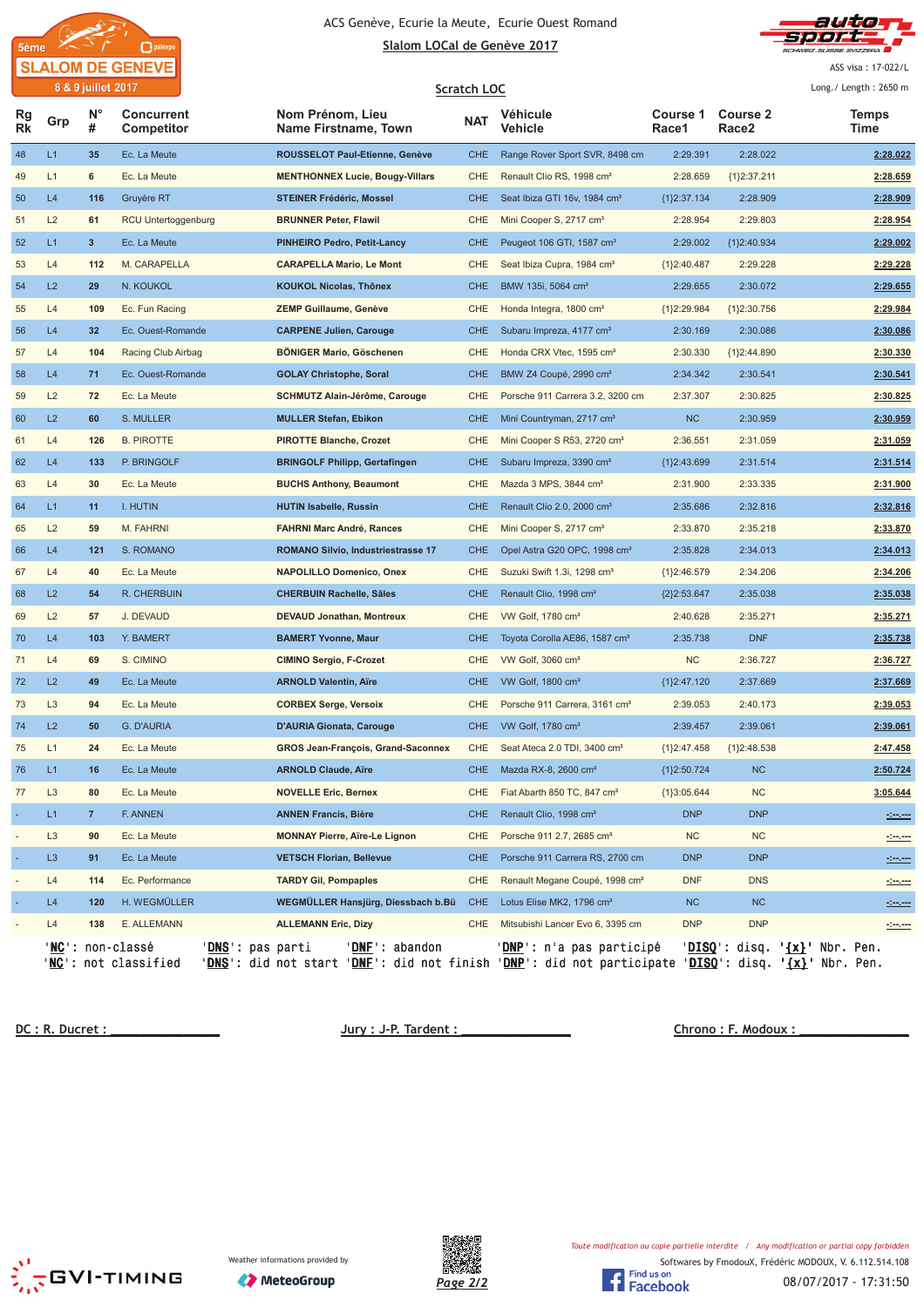



ASS visa: 17-022/L

|                 |                | 8 & 9 juillet 2017 |                                                                                               |                                                                                                                                                                          | Scratch LOC |                                            |                   |                          | Long./ Length: 2650 m         |
|-----------------|----------------|--------------------|-----------------------------------------------------------------------------------------------|--------------------------------------------------------------------------------------------------------------------------------------------------------------------------|-------------|--------------------------------------------|-------------------|--------------------------|-------------------------------|
| Rg<br><b>Rk</b> | Grp            | N°<br>#            | <b>Concurrent</b><br><b>Competitor</b>                                                        | Nom Prénom, Lieu<br>Name Firstname, Town                                                                                                                                 | <b>NAT</b>  | Véhicule<br>Vehicle                        | Course 1<br>Race1 | <b>Course 2</b><br>Race2 | <b>Temps</b><br>Time          |
| 48              | L1             | 35                 | Ec. La Meute                                                                                  | ROUSSELOT Paul-Etienne, Genève                                                                                                                                           | <b>CHE</b>  | Range Rover Sport SVR, 8498 cm             | 2:29.391          | 2:28.022                 | 2:28.022                      |
| 49              | L1             | 6                  | Ec. La Meute                                                                                  | <b>MENTHONNEX Lucie, Bougy-Villars</b>                                                                                                                                   | <b>CHE</b>  | Renault Clio RS, 1998 cm <sup>3</sup>      | 2:28.659          | ${1}2:37.211$            | 2:28.659                      |
| 50              | L4             | 116                | Gruyère RT                                                                                    | <b>STEINER Frédéric, Mossel</b>                                                                                                                                          | <b>CHE</b>  | Seat Ibiza GTI 16v, 1984 cm <sup>3</sup>   | ${1}2:37.134$     | 2:28.909                 | 2:28.909                      |
| 51              | L2             | 61                 | RCU Untertoggenburg                                                                           | <b>BRUNNER Peter, Flawil</b>                                                                                                                                             | CHE         | Mini Cooper S, 2717 cm <sup>3</sup>        | 2:28.954          | 2:29.803                 | 2:28.954                      |
| 52              | L1             | 3                  | Ec. La Meute                                                                                  | <b>PINHEIRO Pedro, Petit-Lancy</b>                                                                                                                                       | <b>CHE</b>  | Peugeot 106 GTI, 1587 cm <sup>3</sup>      | 2:29.002          | {1}2:40.934              | 2:29.002                      |
| 53              | L4             | 112                | M. CARAPELLA                                                                                  | <b>CARAPELLA Mario, Le Mont</b>                                                                                                                                          | <b>CHE</b>  | Seat Ibiza Cupra, 1984 cm <sup>3</sup>     | ${1}2:40.487$     | 2:29.228                 | 2:29.228                      |
| 54              | L2             | 29                 | N. KOUKOL                                                                                     | <b>KOUKOL Nicolas, Thônex</b>                                                                                                                                            | <b>CHE</b>  | BMW 135i, 5064 cm <sup>3</sup>             | 2:29.655          | 2:30.072                 | 2:29.655                      |
| 55              | L4             | 109                | Ec. Fun Racing                                                                                | <b>ZEMP Guillaume, Genève</b>                                                                                                                                            | CHE         | Honda Integra, 1800 cm <sup>3</sup>        | ${1}2:29.984$     | ${1}2:30.756$            | 2:29.984                      |
| 56              | L4             | 32                 | Ec. Ouest-Romande                                                                             | <b>CARPENE Julien, Carouge</b>                                                                                                                                           | <b>CHE</b>  | Subaru Impreza, 4177 cm <sup>3</sup>       | 2:30.169          | 2:30.086                 | 2:30.086                      |
| 57              | L4             | 104                | Racing Club Airbag                                                                            | BÖNIGER Mario, Göschenen                                                                                                                                                 | CHE         | Honda CRX Vtec, 1595 cm <sup>3</sup>       | 2:30.330          | ${1}2:44.890$            | 2:30.330                      |
| 58              | L4             | 71                 | Ec. Ouest-Romande                                                                             | <b>GOLAY Christophe, Soral</b>                                                                                                                                           | <b>CHE</b>  | BMW Z4 Coupé, 2990 cm <sup>3</sup>         | 2:34.342          | 2:30.541                 | 2:30.541                      |
| 59              | L2             | 72                 | Ec. La Meute                                                                                  | SCHMUTZ Alain-Jérôme, Carouge                                                                                                                                            | <b>CHE</b>  | Porsche 911 Carrera 3.2, 3200 cm           | 2:37.307          | 2:30.825                 | 2:30.825                      |
| 60              | L2             | 60                 | S. MULLER                                                                                     | <b>MULLER Stefan, Ebikon</b>                                                                                                                                             | <b>CHE</b>  | Mini Countryman, 2717 cm <sup>3</sup>      | <b>NC</b>         | 2:30.959                 | 2:30.959                      |
| 61              | L4             | 126                | <b>B. PIROTTE</b>                                                                             | <b>PIROTTE Blanche, Crozet</b>                                                                                                                                           | CHE         | Mini Cooper S R53, 2720 cm <sup>3</sup>    | 2:36.551          | 2:31.059                 | 2:31.059                      |
| 62              | L4             | 133                | P. BRINGOLF                                                                                   | <b>BRINGOLF Philipp, Gertafingen</b>                                                                                                                                     | <b>CHE</b>  | Subaru Impreza, 3390 cm <sup>3</sup>       | ${1}2:43.699$     | 2:31.514                 | 2:31.514                      |
| 63              | L4             | 30                 | Ec. La Meute                                                                                  | <b>BUCHS Anthony, Beaumont</b>                                                                                                                                           | CHE         | Mazda 3 MPS, 3844 cm <sup>3</sup>          | 2:31.900          | 2:33.335                 | 2:31.900                      |
| 64              | L1             | 11                 | I. HUTIN                                                                                      | <b>HUTIN Isabelle, Russin</b>                                                                                                                                            | <b>CHE</b>  | Renault Clio 2.0, 2000 cm <sup>3</sup>     | 2:35.686          | 2:32.816                 | 2:32.816                      |
| 65              | L2             | 59                 | M. FAHRNI                                                                                     | <b>FAHRNI Marc André, Rances</b>                                                                                                                                         | CHE         | Mini Cooper S, 2717 cm <sup>3</sup>        | 2:33.870          | 2:35.218                 | 2:33.870                      |
| 66              | L4             | 121                | S. ROMANO                                                                                     | <b>ROMANO Silvio, Industriestrasse 17</b>                                                                                                                                | <b>CHE</b>  | Opel Astra G20 OPC, 1998 cm <sup>3</sup>   | 2:35.828          | 2:34.013                 | 2:34.013                      |
| 67              | L4             | 40                 | Ec. La Meute                                                                                  | <b>NAPOLILLO Domenico, Onex</b>                                                                                                                                          | CHE         | Suzuki Swift 1.3i, 1298 cm <sup>3</sup>    | ${1}2:46.579$     | 2:34.206                 | 2:34.206                      |
| 68              | L2             | 54                 | R. CHERBUIN                                                                                   | <b>CHERBUIN Rachelle, Sâles</b>                                                                                                                                          | <b>CHE</b>  | Renault Clio, 1998 cm <sup>3</sup>         | ${2}2:53.647$     | 2:35.038                 | 2:35.038                      |
| 69              | L2             | 57                 | J. DEVAUD                                                                                     | <b>DEVAUD Jonathan, Montreux</b>                                                                                                                                         | <b>CHE</b>  | VW Golf, 1780 cm <sup>3</sup>              | 2:40.628          | 2:35.271                 | 2:35.271                      |
| 70              | L4             | 103                | Y. BAMERT                                                                                     | <b>BAMERT Yvonne, Maur</b>                                                                                                                                               | <b>CHE</b>  | Toyota Corolla AE86, 1587 cm <sup>3</sup>  | 2:35.738          | <b>DNF</b>               | 2:35.738                      |
| 71              | L4             | 69                 | S. CIMINO                                                                                     | <b>CIMINO Sergio, F-Crozet</b>                                                                                                                                           | <b>CHE</b>  | VW Golf, 3060 cm <sup>3</sup>              | <b>NC</b>         | 2:36.727                 | 2:36.727                      |
| 72              | L2             | 49                 | Ec. La Meute                                                                                  | <b>ARNOLD Valentin, Aïre</b>                                                                                                                                             | <b>CHE</b>  | VW Golf, 1800 cm <sup>3</sup>              | ${1}2:47.120$     | 2:37.669                 | 2:37.669                      |
| 73              | L <sub>3</sub> | 94                 | Ec. La Meute                                                                                  | <b>CORBEX Serge, Versoix</b>                                                                                                                                             | CHE         | Porsche 911 Carrera, 3161 cm <sup>3</sup>  | 2:39.053          | 2:40.173                 | 2:39.053                      |
| 74              | L2             | 50                 | G. D'AURIA                                                                                    | <b>D'AURIA Gionata, Carouge</b>                                                                                                                                          | <b>CHE</b>  | VW Golf, 1780 cm <sup>3</sup>              | 2:39.457          | 2:39.061                 | 2:39.061                      |
| 75              | L1             | 24                 | Ec. La Meute                                                                                  | <b>GROS Jean-François, Grand-Saconnex</b>                                                                                                                                | CHE         | Seat Ateca 2.0 TDI, 3400 cm <sup>3</sup>   | ${1}2:47.458$     | ${1}2:48.538$            | 2:47.458                      |
| 76              | L1             | 16                 | Ec. La Meute                                                                                  | <b>ARNOLD Claude, Aïre</b>                                                                                                                                               | <b>CHE</b>  | Mazda RX-8, 2600 cm <sup>3</sup>           | {1}2:50.724       | NC                       | 2:50.724                      |
| 77              | L <sub>3</sub> | 80                 | Ec. La Meute                                                                                  | <b>NOVELLE Eric, Bernex</b>                                                                                                                                              | <b>CHE</b>  | Fiat Abarth 850 TC, 847 cm <sup>3</sup>    | ${1}3:05.644$     | NC                       | 3:05.644                      |
|                 | L1             | 7                  | F. ANNEN                                                                                      | <b>ANNEN Francis, Bière</b>                                                                                                                                              | <b>CHE</b>  | Renault Clio, 1998 cm <sup>3</sup>         | <b>DNP</b>        | <b>DNP</b>               |                               |
|                 | L <sub>3</sub> | 90                 | Ec. La Meute                                                                                  | <b>MONNAY Pierre, Aïre-Le Lignon</b>                                                                                                                                     | CHE         | Porsche 911 2.7, 2685 cm <sup>3</sup>      | <b>NC</b>         | <b>NC</b>                |                               |
|                 | L <sub>3</sub> | 91                 | Ec. La Meute                                                                                  | <b>VETSCH Florian, Bellevue</b>                                                                                                                                          | <b>CHE</b>  | Porsche 911 Carrera RS, 2700 cm            | <b>DNP</b>        | <b>DNP</b>               |                               |
|                 | L4             | 114                | Ec. Performance                                                                               | <b>TARDY Gil, Pompaples</b>                                                                                                                                              | CHE         | Renault Megane Coupé, 1998 cm <sup>3</sup> | <b>DNF</b>        | <b>DNS</b>               |                               |
|                 | L4             | 120                | H. WEGMÜLLER                                                                                  | WEGMÜLLER Hansjürg, Diessbach b.Bü                                                                                                                                       | <b>CHE</b>  | Lotus Elise MK2, 1796 cm <sup>3</sup>      | NC                | NC                       | <u> 1000 </u>                 |
|                 | L4             | 138                | E. ALLEMANN                                                                                   | <b>ALLEMANN Eric, Dizy</b>                                                                                                                                               | CHE         | Mitsubishi Lancer Evo 6, 3395 cm           | <b>DNP</b>        | <b>DNP</b>               |                               |
|                 |                |                    | ' <b>NC</b> ': non-classé<br>' <b>DNS</b> ': pas parti<br>' <mark>NC</mark> ': not classified | 'DNF': abandon<br>' <mark>DNS</mark> ': did not start ' <u>DNF</u> ': did not finish ' <u>DNP</u> ': did not participate ' <u>DISQ</u> ': disq. ' <u>{x}</u> ' Nbr. Pen. |             | DNP': n'a pas participé                    |                   |                          | 'DISQ': disq. '{x}' Nbr. Pen. |

 **!"** 

 **#\$ %**



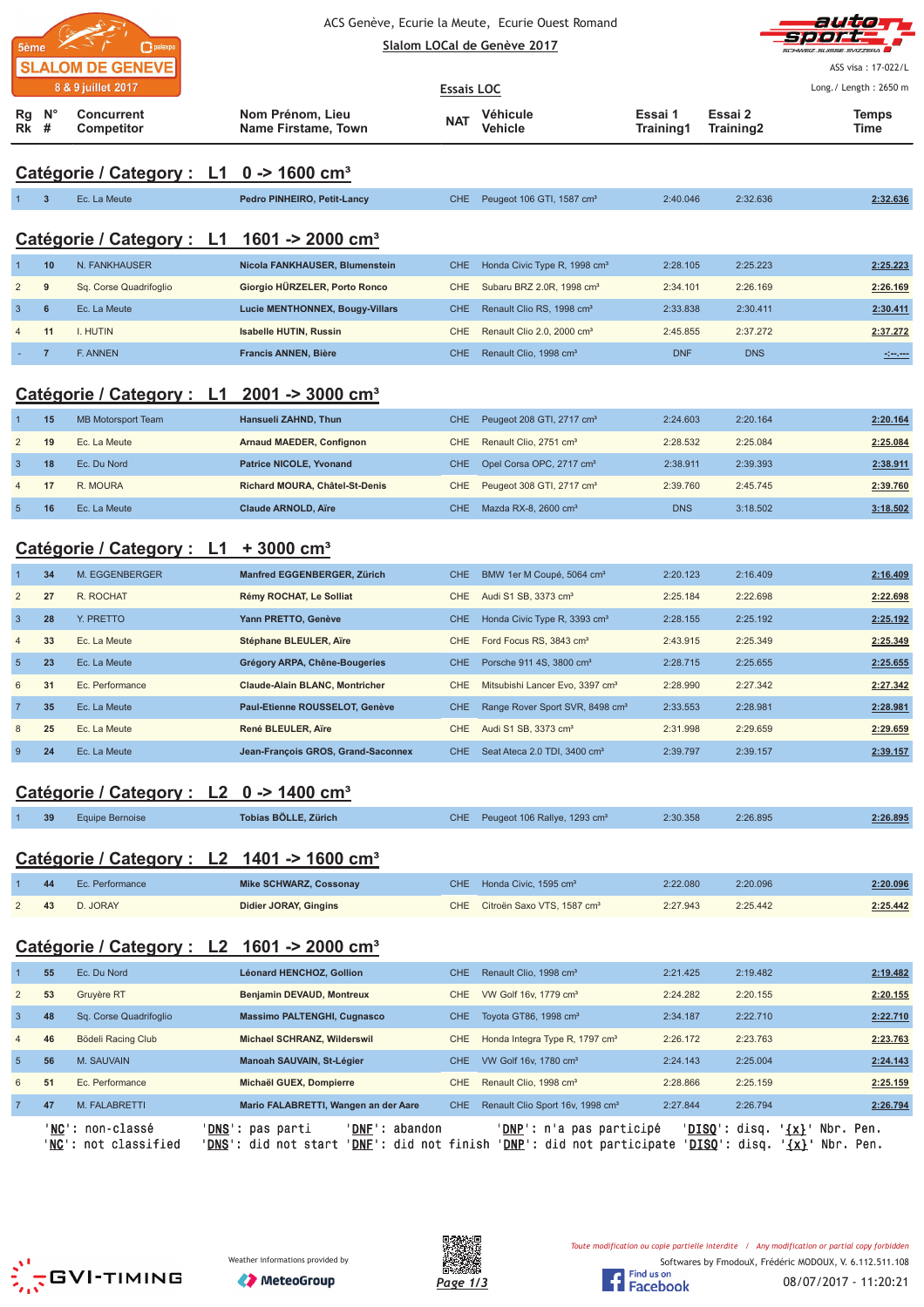|                         |                |                                                     |                                                                                                     |                   | ACS Genève, Ecurie la Meute, Ecurie Ouest Romand |                      | autor                |                                                 |
|-------------------------|----------------|-----------------------------------------------------|-----------------------------------------------------------------------------------------------------|-------------------|--------------------------------------------------|----------------------|----------------------|-------------------------------------------------|
| 5ème                    |                | palexpo                                             |                                                                                                     |                   | Slalom LOCal de Genève 2017                      |                      |                      |                                                 |
|                         |                | <b>SLALOM DE GENEVE</b>                             |                                                                                                     |                   |                                                  |                      |                      | ASS visa: 17-022/L                              |
|                         |                | 8 & 9 juillet 2017                                  |                                                                                                     | <b>Essais LOC</b> |                                                  |                      |                      | Long./ Length: 2650 m                           |
| Rg<br><b>Rk</b> #       | $N^{\circ}$    | <b>Concurrent</b><br>Competitor                     | Nom Prénom, Lieu<br>Name Firstame, Town                                                             | <b>NAT</b>        | Véhicule<br><b>Vehicle</b>                       | Essai 1<br>Training1 | Essai 2<br>Training2 | Temps<br>Time                                   |
|                         |                | Catégorie / Category : L1 0 -> 1600 cm <sup>3</sup> |                                                                                                     |                   |                                                  |                      |                      |                                                 |
| $\mathbf{1}$            | $\mathbf{3}$   | Ec. La Meute                                        | Pedro PINHEIRO, Petit-Lancy                                                                         | CHE               | Peugeot 106 GTI, 1587 cm <sup>3</sup>            | 2:40.046             | 2:32.636             | 2:32.636                                        |
|                         |                |                                                     |                                                                                                     |                   |                                                  |                      |                      |                                                 |
|                         |                |                                                     | Catégorie / Category : L1 1601 -> 2000 cm <sup>3</sup>                                              |                   |                                                  |                      |                      |                                                 |
| $\mathbf{1}$            | 10             | N. FANKHAUSER                                       | Nicola FANKHAUSER, Blumenstein                                                                      | CHE               | Honda Civic Type R, 1998 cm <sup>3</sup>         | 2:28.105             | 2:25.223             | 2:25.223                                        |
| $\overline{\mathbf{c}}$ | 9              | Sq. Corse Quadrifoglio                              | Giorgio HÜRZELER, Porto Ronco                                                                       | <b>CHE</b>        | Subaru BRZ 2.0R, 1998 cm <sup>3</sup>            | 2:34.101             | 2:26.169             | 2:26.169                                        |
| $\mathbf{3}$            | 6              | Ec. La Meute                                        | Lucie MENTHONNEX, Bougy-Villars                                                                     | <b>CHE</b>        | Renault Clio RS, 1998 cm <sup>3</sup>            | 2:33.838             | 2:30.411             | 2:30.411                                        |
| 4                       | 11             | I. HUTIN                                            | <b>Isabelle HUTIN, Russin</b>                                                                       | <b>CHE</b>        | Renault Clio 2.0, 2000 cm <sup>3</sup>           | 2:45.855             | 2:37.272             | 2:37.272                                        |
|                         | $\overline{7}$ | <b>F. ANNEN</b>                                     | <b>Francis ANNEN, Bière</b>                                                                         | <b>CHE</b>        | Renault Clio, 1998 cm <sup>3</sup>               | <b>DNF</b>           | <b>DNS</b>           | <u>siman</u>                                    |
|                         |                |                                                     |                                                                                                     |                   |                                                  |                      |                      |                                                 |
|                         |                | Catégorie / Category : L1                           | $2001 - 3000$ cm <sup>3</sup>                                                                       |                   |                                                  |                      |                      |                                                 |
|                         | 15             | <b>MB Motorsport Team</b>                           | Hansueli ZAHND, Thun                                                                                | <b>CHE</b>        | Peugeot 208 GTI, 2717 cm <sup>3</sup>            | 2:24.603             | 2:20.164             | 2:20.164                                        |
| $\overline{\mathbf{c}}$ | 19             | Ec. La Meute                                        | <b>Arnaud MAEDER, Confignon</b>                                                                     | <b>CHE</b>        | Renault Clio, 2751 cm <sup>3</sup>               | 2:28.532             | 2:25.084             | 2:25.084                                        |
| $\mathbf{3}$            | 18             | Ec. Du Nord                                         | <b>Patrice NICOLE, Yvonand</b>                                                                      | <b>CHE</b>        | Opel Corsa OPC, 2717 cm <sup>3</sup>             | 2:38.911             | 2:39.393             | 2:38.911                                        |
| 4                       | 17             | R. MOURA                                            | Richard MOURA, Châtel-St-Denis                                                                      | CHE               | Peugeot 308 GTI, 2717 cm <sup>3</sup>            | 2:39.760             | 2:45.745             | 2:39.760                                        |
| $\overline{5}$          | 16             | Ec. La Meute                                        | <b>Claude ARNOLD, Aïre</b>                                                                          | CHE.              | Mazda RX-8, 2600 cm <sup>3</sup>                 | <b>DNS</b>           | 3:18.502             | 3:18.502                                        |
|                         |                |                                                     |                                                                                                     |                   |                                                  |                      |                      |                                                 |
|                         |                | Catégorie / Category : L1 + 3000 cm <sup>3</sup>    |                                                                                                     |                   |                                                  |                      |                      |                                                 |
|                         | 34             | M. EGGENBERGER                                      | Manfred EGGENBERGER, Zürich                                                                         | <b>CHE</b>        | BMW 1er M Coupé, 5064 cm <sup>3</sup>            | 2:20.123             | 2:16.409             | 2:16.409                                        |
| $\overline{\mathbf{c}}$ | 27             | R. ROCHAT                                           | Rémy ROCHAT, Le Solliat                                                                             | <b>CHE</b>        | Audi S1 SB, 3373 cm <sup>3</sup>                 | 2:25.184             | 2:22.698             | 2:22.698                                        |
|                         |                | Y. PRETTO                                           |                                                                                                     |                   |                                                  |                      |                      |                                                 |
| $\mathbf{3}$            | 28             |                                                     | Yann PRETTO, Genève                                                                                 | <b>CHE</b>        | Honda Civic Type R, 3393 cm <sup>3</sup>         | 2:28.155             | 2:25.192             | 2:25.192                                        |
| $\overline{4}$          | 33             | Ec. La Meute                                        | Stéphane BLEULER, Aïre                                                                              | <b>CHE</b>        | Ford Focus RS, 3843 cm <sup>3</sup>              | 2:43.915             | 2:25.349             | 2:25.349                                        |
| $\overline{5}$          | 23             | Ec. La Meute                                        | Grégory ARPA, Chêne-Bougeries                                                                       | <b>CHE</b>        | Porsche 911 4S, 3800 cm <sup>3</sup>             | 2:28.715             | 2:25.655             | 2:25.655                                        |
| 6                       | 31             | Ec. Performance                                     | <b>Claude-Alain BLANC, Montricher</b>                                                               | <b>CHE</b>        | Mitsubishi Lancer Evo, 3397 cm <sup>3</sup>      | 2:28.990             | 2:27.342             | 2:27.342                                        |
| $\overline{7}$          | 35             | Ec. La Meute                                        | Paul-Etienne ROUSSELOT, Genève                                                                      | <b>CHE</b>        | Range Rover Sport SVR, 8498 cm <sup>3</sup>      | 2:33.553             | 2:28.981             | 2:28.981                                        |
| 8                       | 25             | Ec. La Meute                                        | René BLEULER, Aïre                                                                                  | CHE               | Audi S1 SB, 3373 cm <sup>3</sup>                 | 2:31.998             | 2:29.659             | 2:29.659                                        |
| $\boldsymbol{9}$        | 24             | Ec. La Meute                                        | Jean-François GROS, Grand-Saconnex                                                                  | CHE.              | Seat Ateca 2.0 TDI, 3400 cm <sup>3</sup>         | 2:39.797             | 2:39.157             | 2:39.157                                        |
|                         |                |                                                     |                                                                                                     |                   |                                                  |                      |                      |                                                 |
|                         |                | Catégorie / Category : L2 0 -> 1400 cm <sup>3</sup> |                                                                                                     |                   |                                                  |                      |                      |                                                 |
| 1                       | 39             | <b>Equipe Bernoise</b>                              | Tobias BÖLLE, Zürich                                                                                | CHE.              | Peugeot 106 Rallye, 1293 cm <sup>3</sup>         | 2:30.358             | 2:26.895             | 2:26.895                                        |
|                         |                |                                                     |                                                                                                     |                   |                                                  |                      |                      |                                                 |
|                         |                |                                                     | Catégorie / Category : L2 1401 -> 1600 cm <sup>3</sup>                                              |                   |                                                  |                      |                      |                                                 |
|                         | 44             | Ec. Performance                                     | <b>Mike SCHWARZ, Cossonay</b>                                                                       | <b>CHE</b>        | Honda Civic, 1595 cm <sup>3</sup>                | 2:22.080             | 2:20.096             | 2:20.096                                        |
| $\overline{\mathbf{c}}$ | 43             | D. JORAY                                            | <b>Didier JORAY, Gingins</b>                                                                        | <b>CHE</b>        | Citroën Saxo VTS, 1587 cm <sup>3</sup>           | 2:27.943             | 2:25.442             | 2:25.442                                        |
|                         |                |                                                     |                                                                                                     |                   |                                                  |                      |                      |                                                 |
|                         |                | Catégorie / Category : L2                           | 1601 -> 2000 cm <sup>3</sup>                                                                        |                   |                                                  |                      |                      |                                                 |
| 1                       | 55             | Ec. Du Nord                                         | Léonard HENCHOZ, Gollion                                                                            | <b>CHE</b>        | Renault Clio, 1998 cm <sup>3</sup>               | 2:21.425             | 2:19.482             | 2:19.482                                        |
| $\overline{\mathbf{c}}$ | 53             | Gruyère RT                                          | Benjamin DEVAUD, Montreux                                                                           | CHE               | VW Golf 16v, 1779 cm <sup>3</sup>                | 2:24.282             | 2:20.155             | 2:20.155                                        |
| $\mathbf{3}$            | 48             | Sq. Corse Quadrifoglio                              | <b>Massimo PALTENGHI, Cugnasco</b>                                                                  | <b>CHE</b>        | Toyota GT86, 1998 cm <sup>3</sup>                | 2:34.187             | 2:22.710             | 2:22.710                                        |
| 4                       | 46             | Bödeli Racing Club                                  | Michael SCHRANZ, Wilderswil                                                                         | <b>CHE</b>        | Honda Integra Type R, 1797 cm <sup>3</sup>       | 2:26.172             | 2:23.763             | 2:23.763                                        |
| $\overline{5}$          | 56             | M. SAUVAIN                                          | Manoah SAUVAIN, St-Légier                                                                           | <b>CHE</b>        | VW Golf 16v, 1780 cm <sup>3</sup>                | 2:24.143             | 2:25.004             | 2:24.143                                        |
| 6                       | 51             | Ec. Performance                                     | Michaël GUEX, Dompierre                                                                             | CHE               | Renault Clio, 1998 cm <sup>3</sup>               | 2:28.866             | 2:25.159             | 2:25.159                                        |
| $\overline{7}$          | 47             | M. FALABRETTI                                       | Mario FALABRETTI, Wangen an der Aare                                                                | CHE.              | Renault Clio Sport 16v, 1998 cm <sup>3</sup>     | 2:27.844             | 2:26.794             | 2:26.794                                        |
|                         |                | ' <b>NC</b> ': non-classé                           | ' <u>DNS</u> ': pas parti<br>' <u>DNF</u> ': abandon                                                |                   | ' <u>DNP</u> ': n'a pas participé                |                      |                      | ' <u>DISQ</u> ': disq. ' <u>{x}</u> ' Nbr. Pen. |
|                         |                | ' <u>NC</u> ': not classified                       | 'DNS': did not start 'DNE': did not finish 'DNP': did not participate 'DISQ': disq. '{x}' Nbr. Pen. |                   |                                                  |                      |                      |                                                 |







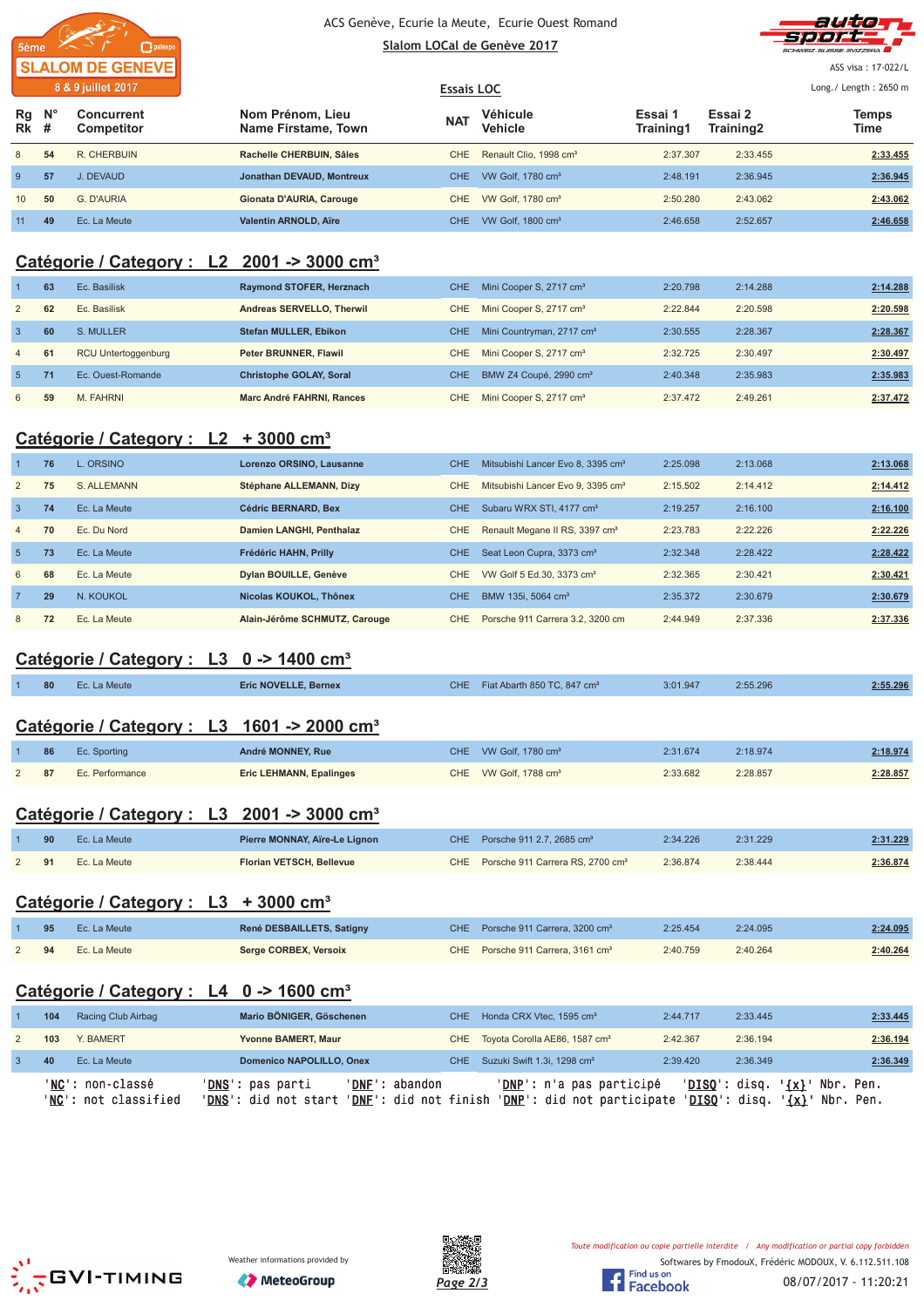



ASS visa: 17-022/L

|                                                       | <b>Essais LOC</b> |                                    |                      |                      |               |  |  |
|-------------------------------------------------------|-------------------|------------------------------------|----------------------|----------------------|---------------|--|--|
| Nom Prénom, Lieu<br>Concurrent<br>Name Firstame, Town | <b>NAT</b>        | Véhicule<br>Vehicle                | Essai 1<br>Training1 | Essai 2<br>Training2 | Temps<br>Time |  |  |
| Rachelle CHERBUIN, Sâles                              | CHE.              | Renault Clio, 1998 cm <sup>3</sup> | 2:37.307             | 2:33.455             | 2:33.455      |  |  |
| Jonathan DEVAUD, Montreux                             | CHE.              | VW Golf. 1780 cm <sup>3</sup>      | 2:48.191             | 2:36.945             | 2:36.945      |  |  |
| Gionata D'AURIA, Carouge                              | CHE.              | VW Golf, 1780 cm <sup>3</sup>      | 2:50.280             | 2:43.062             | 2:43.062      |  |  |
| <b>Valentin ARNOLD, Aïre</b>                          | CHE.              | VW Golf, 1800 cm <sup>3</sup>      | 2:46.658             | 2:52.657             | 2:46.658      |  |  |
| R. CHERBUIN                                           | Competitor        |                                    |                      |                      |               |  |  |

## **Catégorie / Category : L2 2001 -> 3000 cm³**

|                 | 63 | Ec. Basilisk               | Raymond STOFER, Herznach       | CHE. | Mini Cooper S, 2717 cm <sup>3</sup>   | 2:20.798 | 2:14.288 | 2:14.288 |
|-----------------|----|----------------------------|--------------------------------|------|---------------------------------------|----------|----------|----------|
| 2               | 62 | Ec. Basilisk               | Andreas SERVELLO, Therwil      | CHE  | Mini Cooper S, 2717 cm <sup>3</sup>   | 2:22.844 | 2:20.598 | 2:20.598 |
| $\mathbf{3}$    | 60 | S. MULLER                  | <b>Stefan MULLER, Ebikon</b>   | CHE. | Mini Countryman, 2717 cm <sup>3</sup> | 2:30.555 | 2:28.367 | 2:28.367 |
| $\overline{4}$  | 61 | <b>RCU Untertoggenburg</b> | Peter BRUNNER, Flawil          | CHE  | Mini Cooper S, 2717 cm <sup>3</sup>   | 2:32.725 | 2:30.497 | 2:30.497 |
| $5\overline{5}$ | 71 | Ec. Ouest-Romande          | <b>Christophe GOLAY, Soral</b> | CHE. | BMW Z4 Coupé, 2990 cm <sup>3</sup>    | 2:40.348 | 2:35.983 | 2:35.983 |
| 6               | 59 | M. FAHRNI                  | Marc André FAHRNI, Rances      | CHE. | Mini Cooper S, 2717 cm <sup>3</sup>   | 2:37.472 | 2:49.261 | 2:37.472 |

## **Catégorie / Category : L2 + 3000 cm³**

|                 | 76 | L. ORSINO    | Lorenzo ORSINO, Lausanne      | <b>CHE</b> | Mitsubishi Lancer Evo 8, 3395 cm <sup>3</sup> | 2:25.098 | 2:13.068 | 2:13.068 |
|-----------------|----|--------------|-------------------------------|------------|-----------------------------------------------|----------|----------|----------|
| $\overline{2}$  | 75 | S. ALLEMANN  | Stéphane ALLEMANN, Dizy       | <b>CHE</b> | Mitsubishi Lancer Evo 9, 3395 cm <sup>3</sup> | 2:15.502 | 2:14.412 | 2:14.412 |
| $\overline{3}$  | 74 | Ec. La Meute | <b>Cédric BERNARD, Bex</b>    | CHE.       | Subaru WRX STI, 4177 cm <sup>3</sup>          | 2:19.257 | 2:16.100 | 2:16.100 |
| $\overline{4}$  | 70 | Ec. Du Nord  | Damien LANGHI, Penthalaz      | <b>CHE</b> | Renault Megane II RS, 3397 cm <sup>3</sup>    | 2:23.783 | 2:22.226 | 2:22.226 |
| $5^{\circ}$     | 73 | Ec. La Meute | Frédéric HAHN, Prilly         | CHE.       | Seat Leon Cupra, 3373 cm <sup>3</sup>         | 2:32.348 | 2:28.422 | 2:28.422 |
| 6               | 68 | Ec. La Meute | Dylan BOUILLE, Genève         | CHE.       | VW Golf 5 Ed.30, 3373 cm <sup>3</sup>         | 2:32.365 | 2:30.421 | 2:30.421 |
| $7\phantom{.0}$ | 29 | N. KOUKOL    | Nicolas KOUKOL, Thônex        | <b>CHE</b> | BMW 135i, 5064 cm <sup>3</sup>                | 2:35.372 | 2:30.679 | 2:30.679 |
| 8               | 72 | Ec. La Meute | Alain-Jérôme SCHMUTZ, Carouge | CHE.       | Porsche 911 Carrera 3.2, 3200 cm              | 2:44.949 | 2:37.336 | 2:37.336 |

## **Catégorie / Category : L3 0 -> 1400 cm³**

|                | 80     | Ec. La Meute                         |    | <b>Eric NOVELLE, Bernex</b>                                | <b>CHE</b>                                | Fiat Abarth 850 TC, 847 cm <sup>3</sup>                         | 3:01.947 | 2:55.296                                    | 2:55.296               |
|----------------|--------|--------------------------------------|----|------------------------------------------------------------|-------------------------------------------|-----------------------------------------------------------------|----------|---------------------------------------------|------------------------|
|                |        |                                      |    |                                                            |                                           |                                                                 |          |                                             |                        |
|                |        | Catégorie / Category :               | L3 | 1601 -> 2000 cm <sup>3</sup>                               |                                           |                                                                 |          |                                             |                        |
|                | 86     | Ec. Sporting                         |    | André MONNEY, Rue                                          | <b>CHE</b>                                | VW Golf, 1780 cm <sup>3</sup>                                   | 2:31.674 | 2:18.974                                    | 2:18.974               |
| $\overline{2}$ | 87     | Ec. Performance                      |    | <b>Eric LEHMANN, Epalinges</b>                             | <b>CHE</b>                                | VW Golf, 1788 cm <sup>3</sup>                                   | 2:33.682 | 2:28.857                                    | 2:28.857               |
|                |        |                                      |    |                                                            |                                           |                                                                 |          |                                             |                        |
|                |        |                                      |    | Catégorie / Category : $L3$ 2001 -> 3000 cm <sup>3</sup>   |                                           |                                                                 |          |                                             |                        |
|                | 90     | Ec. La Meute                         |    | Pierre MONNAY, Aïre-Le Lignon                              | <b>CHE</b>                                | Porsche 911 2.7, 2685 cm <sup>3</sup>                           | 2:34.226 | 2:31.229                                    | 2:31.229               |
| $\overline{2}$ | 91     | Ec. La Meute                         |    | Florian VETSCH, Bellevue                                   | CHE                                       | Porsche 911 Carrera RS, 2700 cm <sup>3</sup>                    | 2:36.874 | 2:38.444                                    | 2:36.874               |
|                |        |                                      |    |                                                            |                                           |                                                                 |          |                                             |                        |
|                |        | Catégorie / Category : L3            |    | $+3000$ cm <sup>3</sup>                                    |                                           |                                                                 |          |                                             |                        |
|                | 95     | Ec. La Meute                         |    | René DESBAILLETS, Satigny                                  | <b>CHE</b>                                | Porsche 911 Carrera, 3200 cm <sup>3</sup>                       | 2:25.454 | 2:24.095                                    | 2:24.095               |
| $\overline{2}$ | 94     | Ec. La Meute                         |    | Serge CORBEX, Versoix                                      | <b>CHE</b>                                | Porsche 911 Carrera, 3161 cm <sup>3</sup>                       | 2:40.759 | 2:40.264                                    | 2:40.264               |
|                |        |                                      |    |                                                            |                                           |                                                                 |          |                                             |                        |
|                |        | Catégorie / Category : L4            |    | $0 \rightarrow 1600 \text{ cm}^3$                          |                                           |                                                                 |          |                                             |                        |
|                | 104    | Racing Club Airbag                   |    | Mario BÖNIGER, Göschenen                                   | <b>CHE</b>                                | Honda CRX Vtec, 1595 cm <sup>3</sup>                            | 2:44.717 | 2:33.445                                    | 2:33.445               |
| $\overline{2}$ | 103    | Y. BAMERT                            |    | Yvonne BAMERT, Maur                                        | <b>CHE</b>                                | Toyota Corolla AE86, 1587 cm <sup>3</sup>                       | 2:42.367 | 2:36.194                                    | 2:36.194               |
| 3              | 40     | Ec. La Meute                         |    | <b>Domenico NAPOLILLO, Onex</b>                            | CHE.                                      | Suzuki Swift 1.3i, 1298 cm <sup>3</sup>                         | 2:39.420 | 2:36.349                                    | 2:36.349               |
|                | ' NC ' | 'NC': non-classé<br>: not classified |    | DNS': pas parti<br>'DNF':<br>' <b>DNS</b> ': did not start | abandon<br>' <b>DNF</b> ': did not finish | ' <b>DNP</b> ': n'a pas participé<br>'DNP': did not participate | 'DISO':  | $\{x\}$<br>disa.<br>$'DISO': disq. '{}x}.'$ | Nbr. Pen.<br>Nbr. Pen. |